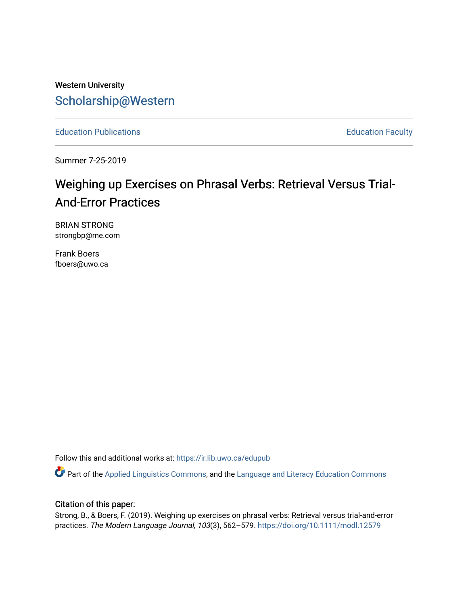Western University [Scholarship@Western](https://ir.lib.uwo.ca/) 

[Education Publications](https://ir.lib.uwo.ca/edupub) **Education** Faculty

Summer 7-25-2019

# Weighing up Exercises on Phrasal Verbs: Retrieval Versus Trial-And-Error Practices

BRIAN STRONG strongbp@me.com

Frank Boers fboers@uwo.ca

Follow this and additional works at: [https://ir.lib.uwo.ca/edupub](https://ir.lib.uwo.ca/edupub?utm_source=ir.lib.uwo.ca%2Fedupub%2F285&utm_medium=PDF&utm_campaign=PDFCoverPages) 

Part of the [Applied Linguistics Commons,](http://network.bepress.com/hgg/discipline/373?utm_source=ir.lib.uwo.ca%2Fedupub%2F285&utm_medium=PDF&utm_campaign=PDFCoverPages) and the [Language and Literacy Education Commons](http://network.bepress.com/hgg/discipline/1380?utm_source=ir.lib.uwo.ca%2Fedupub%2F285&utm_medium=PDF&utm_campaign=PDFCoverPages) 

## Citation of this paper:

Strong, B., & Boers, F. (2019). Weighing up exercises on phrasal verbs: Retrieval versus trial-and-error practices. The Modern Language Journal, 103(3), 562-579. https://doi.org/10.1111/modl.12579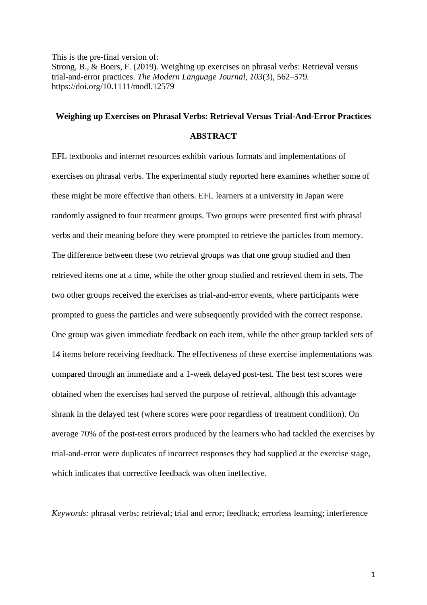This is the pre-final version of: Strong, B., & Boers, F. (2019). Weighing up exercises on phrasal verbs: Retrieval versus trial-and-error practices. *The Modern Language Journal, 103*(3), 562–579*.* <https://doi.org/10.1111/modl.12579>

# **Weighing up Exercises on Phrasal Verbs: Retrieval Versus Trial-And-Error Practices**

#### **ABSTRACT**

EFL textbooks and internet resources exhibit various formats and implementations of exercises on phrasal verbs. The experimental study reported here examines whether some of these might be more effective than others. EFL learners at a university in Japan were randomly assigned to four treatment groups. Two groups were presented first with phrasal verbs and their meaning before they were prompted to retrieve the particles from memory. The difference between these two retrieval groups was that one group studied and then retrieved items one at a time, while the other group studied and retrieved them in sets. The two other groups received the exercises as trial-and-error events, where participants were prompted to guess the particles and were subsequently provided with the correct response. One group was given immediate feedback on each item, while the other group tackled sets of 14 items before receiving feedback. The effectiveness of these exercise implementations was compared through an immediate and a 1-week delayed post-test. The best test scores were obtained when the exercises had served the purpose of retrieval, although this advantage shrank in the delayed test (where scores were poor regardless of treatment condition). On average 70% of the post-test errors produced by the learners who had tackled the exercises by trial-and-error were duplicates of incorrect responses they had supplied at the exercise stage, which indicates that corrective feedback was often ineffective.

*Keywords:* phrasal verbs; retrieval; trial and error; feedback; errorless learning; interference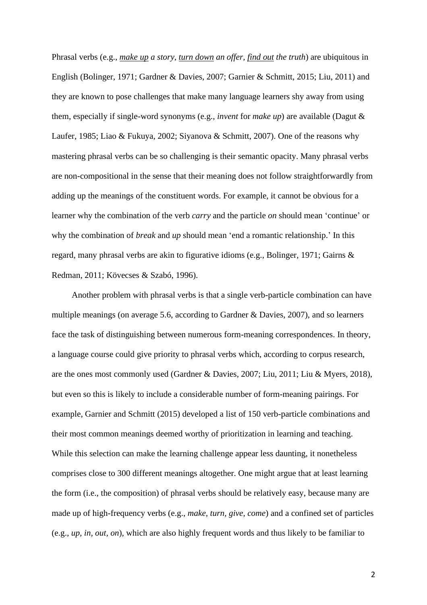Phrasal verbs (e.g., *make up a story, turn down an offer, find out the truth*) are ubiquitous in English (Bolinger, 1971; Gardner & Davies, 2007; Garnier & Schmitt, 2015; Liu, 2011) and they are known to pose challenges that make many language learners shy away from using them, especially if single-word synonyms (e.g., *invent* for *make up*) are available (Dagut & Laufer, 1985; Liao & Fukuya, 2002; Siyanova & Schmitt, 2007). One of the reasons why mastering phrasal verbs can be so challenging is their semantic opacity. Many phrasal verbs are non-compositional in the sense that their meaning does not follow straightforwardly from adding up the meanings of the constituent words. For example, it cannot be obvious for a learner why the combination of the verb *carry* and the particle *on* should mean 'continue' or why the combination of *break* and *up* should mean 'end a romantic relationship.' In this regard, many phrasal verbs are akin to figurative idioms (e.g., Bolinger, 1971; Gairns & Redman, 2011; Kövecses & Szabó, 1996).

Another problem with phrasal verbs is that a single verb-particle combination can have multiple meanings (on average 5.6, according to Gardner & Davies, 2007), and so learners face the task of distinguishing between numerous form-meaning correspondences. In theory, a language course could give priority to phrasal verbs which, according to corpus research, are the ones most commonly used (Gardner & Davies, 2007; Liu, 2011; Liu & Myers, 2018), but even so this is likely to include a considerable number of form-meaning pairings. For example, Garnier and Schmitt (2015) developed a list of 150 verb-particle combinations and their most common meanings deemed worthy of prioritization in learning and teaching. While this selection can make the learning challenge appear less daunting, it nonetheless comprises close to 300 different meanings altogether. One might argue that at least learning the form (i.e., the composition) of phrasal verbs should be relatively easy, because many are made up of high-frequency verbs (e.g., *make, turn, give, come*) and a confined set of particles (e.g., *up, in, out, on*), which are also highly frequent words and thus likely to be familiar to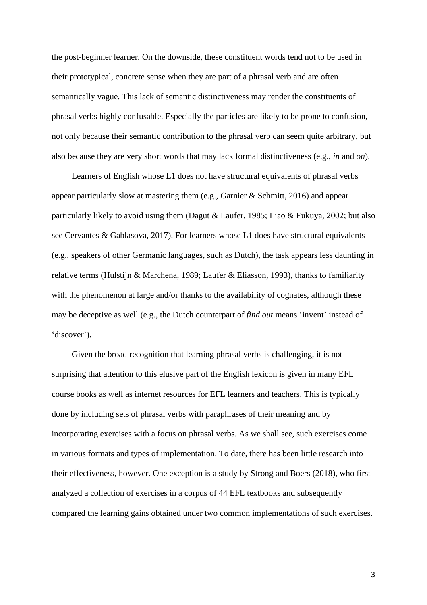the post-beginner learner. On the downside, these constituent words tend not to be used in their prototypical, concrete sense when they are part of a phrasal verb and are often semantically vague. This lack of semantic distinctiveness may render the constituents of phrasal verbs highly confusable. Especially the particles are likely to be prone to confusion, not only because their semantic contribution to the phrasal verb can seem quite arbitrary, but also because they are very short words that may lack formal distinctiveness (e.g., *in* and *on*).

Learners of English whose L1 does not have structural equivalents of phrasal verbs appear particularly slow at mastering them (e.g., Garnier & Schmitt, 2016) and appear particularly likely to avoid using them (Dagut & Laufer, 1985; Liao & Fukuya, 2002; but also see Cervantes & Gablasova, 2017). For learners whose L1 does have structural equivalents (e.g., speakers of other Germanic languages, such as Dutch), the task appears less daunting in relative terms (Hulstijn & Marchena, 1989; Laufer & Eliasson, 1993), thanks to familiarity with the phenomenon at large and/or thanks to the availability of cognates, although these may be deceptive as well (e.g., the Dutch counterpart of *find out* means 'invent' instead of 'discover').

Given the broad recognition that learning phrasal verbs is challenging, it is not surprising that attention to this elusive part of the English lexicon is given in many EFL course books as well as internet resources for EFL learners and teachers. This is typically done by including sets of phrasal verbs with paraphrases of their meaning and by incorporating exercises with a focus on phrasal verbs. As we shall see, such exercises come in various formats and types of implementation. To date, there has been little research into their effectiveness, however. One exception is a study by Strong and Boers (2018), who first analyzed a collection of exercises in a corpus of 44 EFL textbooks and subsequently compared the learning gains obtained under two common implementations of such exercises.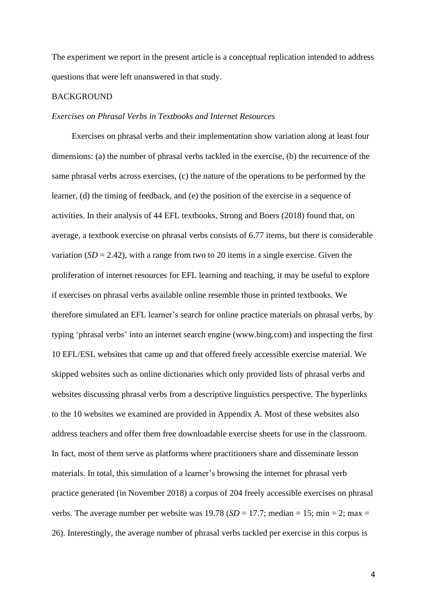The experiment we report in the present article is a conceptual replication intended to address questions that were left unanswered in that study.

## BACKGROUND

#### *Exercises on Phrasal Verbs in Textbooks and Internet Resources*

Exercises on phrasal verbs and their implementation show variation along at least four dimensions: (a) the number of phrasal verbs tackled in the exercise, (b) the recurrence of the same phrasal verbs across exercises, (c) the nature of the operations to be performed by the learner, (d) the timing of feedback, and (e) the position of the exercise in a sequence of activities. In their analysis of 44 EFL textbooks, Strong and Boers (2018) found that, on average, a textbook exercise on phrasal verbs consists of 6.77 items, but there is considerable variation  $(SD = 2.42)$ , with a range from two to 20 items in a single exercise. Given the proliferation of internet resources for EFL learning and teaching, it may be useful to explore if exercises on phrasal verbs available online resemble those in printed textbooks. We therefore simulated an EFL learner's search for online practice materials on phrasal verbs, by typing 'phrasal verbs' into an internet search engine (www.bing.com) and inspecting the first 10 EFL/ESL websites that came up and that offered freely accessible exercise material. We skipped websites such as online dictionaries which only provided lists of phrasal verbs and websites discussing phrasal verbs from a descriptive linguistics perspective. The hyperlinks to the 10 websites we examined are provided in Appendix A. Most of these websites also address teachers and offer them free downloadable exercise sheets for use in the classroom. In fact, most of them serve as platforms where practitioners share and disseminate lesson materials. In total, this simulation of a learner's browsing the internet for phrasal verb practice generated (in November 2018) a corpus of 204 freely accessible exercises on phrasal verbs. The average number per website was  $19.78$  (*SD* = 17.7; median = 15; min = 2; max = 26). Interestingly, the average number of phrasal verbs tackled per exercise in this corpus is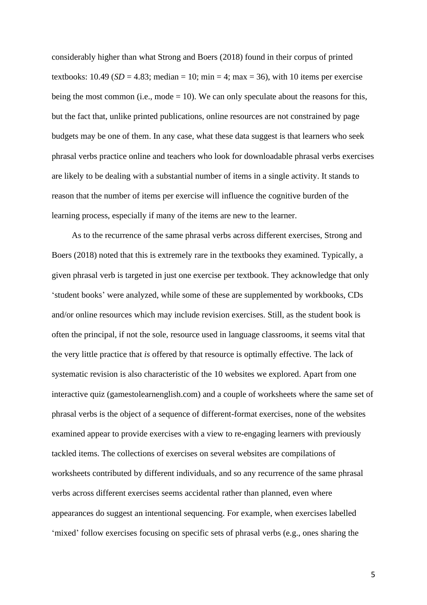considerably higher than what Strong and Boers (2018) found in their corpus of printed textbooks:  $10.49$  (*SD* = 4.83; median = 10; min = 4; max = 36), with 10 items per exercise being the most common (i.e., mode  $= 10$ ). We can only speculate about the reasons for this, but the fact that, unlike printed publications, online resources are not constrained by page budgets may be one of them. In any case, what these data suggest is that learners who seek phrasal verbs practice online and teachers who look for downloadable phrasal verbs exercises are likely to be dealing with a substantial number of items in a single activity. It stands to reason that the number of items per exercise will influence the cognitive burden of the learning process, especially if many of the items are new to the learner.

As to the recurrence of the same phrasal verbs across different exercises, Strong and Boers (2018) noted that this is extremely rare in the textbooks they examined. Typically, a given phrasal verb is targeted in just one exercise per textbook. They acknowledge that only 'student books' were analyzed, while some of these are supplemented by workbooks, CDs and/or online resources which may include revision exercises. Still, as the student book is often the principal, if not the sole, resource used in language classrooms, it seems vital that the very little practice that *is* offered by that resource is optimally effective. The lack of systematic revision is also characteristic of the 10 websites we explored. Apart from one interactive quiz (gamestolearnenglish.com) and a couple of worksheets where the same set of phrasal verbs is the object of a sequence of different-format exercises, none of the websites examined appear to provide exercises with a view to re-engaging learners with previously tackled items. The collections of exercises on several websites are compilations of worksheets contributed by different individuals, and so any recurrence of the same phrasal verbs across different exercises seems accidental rather than planned, even where appearances do suggest an intentional sequencing. For example, when exercises labelled 'mixed' follow exercises focusing on specific sets of phrasal verbs (e.g., ones sharing the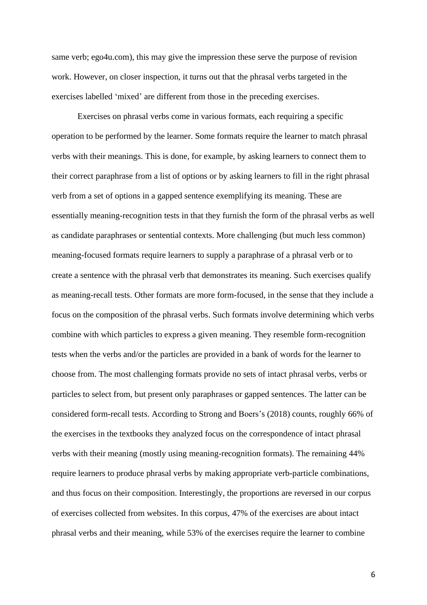same verb; ego4u.com), this may give the impression these serve the purpose of revision work. However, on closer inspection, it turns out that the phrasal verbs targeted in the exercises labelled 'mixed' are different from those in the preceding exercises.

Exercises on phrasal verbs come in various formats, each requiring a specific operation to be performed by the learner. Some formats require the learner to match phrasal verbs with their meanings. This is done, for example, by asking learners to connect them to their correct paraphrase from a list of options or by asking learners to fill in the right phrasal verb from a set of options in a gapped sentence exemplifying its meaning. These are essentially meaning-recognition tests in that they furnish the form of the phrasal verbs as well as candidate paraphrases or sentential contexts. More challenging (but much less common) meaning-focused formats require learners to supply a paraphrase of a phrasal verb or to create a sentence with the phrasal verb that demonstrates its meaning. Such exercises qualify as meaning-recall tests. Other formats are more form-focused, in the sense that they include a focus on the composition of the phrasal verbs. Such formats involve determining which verbs combine with which particles to express a given meaning. They resemble form-recognition tests when the verbs and/or the particles are provided in a bank of words for the learner to choose from. The most challenging formats provide no sets of intact phrasal verbs, verbs or particles to select from, but present only paraphrases or gapped sentences. The latter can be considered form-recall tests. According to Strong and Boers's (2018) counts, roughly 66% of the exercises in the textbooks they analyzed focus on the correspondence of intact phrasal verbs with their meaning (mostly using meaning-recognition formats). The remaining 44% require learners to produce phrasal verbs by making appropriate verb-particle combinations, and thus focus on their composition. Interestingly, the proportions are reversed in our corpus of exercises collected from websites. In this corpus, 47% of the exercises are about intact phrasal verbs and their meaning, while 53% of the exercises require the learner to combine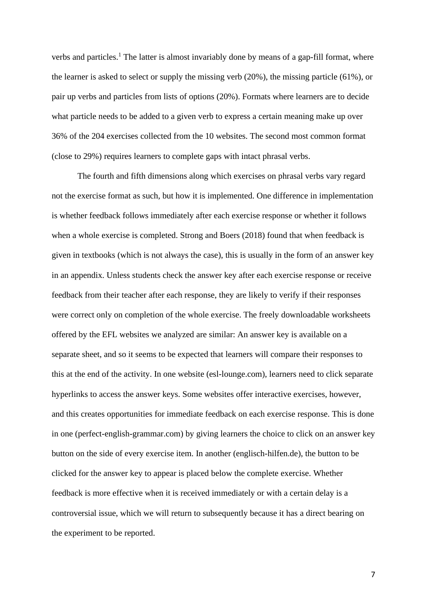verbs and particles.<sup>1</sup> The latter is almost invariably done by means of a gap-fill format, where the learner is asked to select or supply the missing verb (20%), the missing particle (61%), or pair up verbs and particles from lists of options (20%). Formats where learners are to decide what particle needs to be added to a given verb to express a certain meaning make up over 36% of the 204 exercises collected from the 10 websites. The second most common format (close to 29%) requires learners to complete gaps with intact phrasal verbs.

The fourth and fifth dimensions along which exercises on phrasal verbs vary regard not the exercise format as such, but how it is implemented. One difference in implementation is whether feedback follows immediately after each exercise response or whether it follows when a whole exercise is completed. Strong and Boers (2018) found that when feedback is given in textbooks (which is not always the case), this is usually in the form of an answer key in an appendix. Unless students check the answer key after each exercise response or receive feedback from their teacher after each response, they are likely to verify if their responses were correct only on completion of the whole exercise. The freely downloadable worksheets offered by the EFL websites we analyzed are similar: An answer key is available on a separate sheet, and so it seems to be expected that learners will compare their responses to this at the end of the activity. In one website (esl-lounge.com), learners need to click separate hyperlinks to access the answer keys. Some websites offer interactive exercises, however, and this creates opportunities for immediate feedback on each exercise response. This is done in one (perfect-english-grammar.com) by giving learners the choice to click on an answer key button on the side of every exercise item. In another (englisch-hilfen.de), the button to be clicked for the answer key to appear is placed below the complete exercise. Whether feedback is more effective when it is received immediately or with a certain delay is a controversial issue, which we will return to subsequently because it has a direct bearing on the experiment to be reported.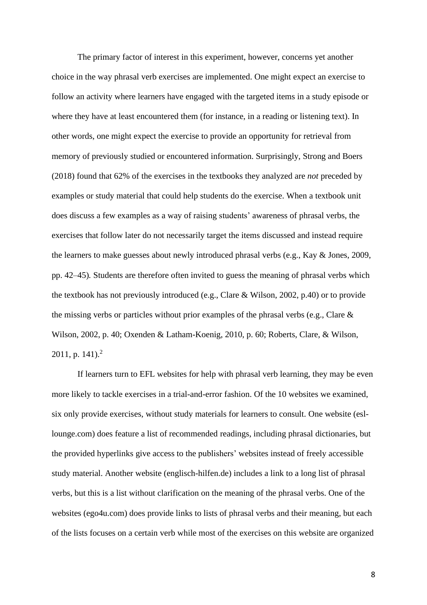The primary factor of interest in this experiment, however, concerns yet another choice in the way phrasal verb exercises are implemented. One might expect an exercise to follow an activity where learners have engaged with the targeted items in a study episode or where they have at least encountered them (for instance, in a reading or listening text). In other words, one might expect the exercise to provide an opportunity for retrieval from memory of previously studied or encountered information. Surprisingly, Strong and Boers (2018) found that 62% of the exercises in the textbooks they analyzed are *not* preceded by examples or study material that could help students do the exercise. When a textbook unit does discuss a few examples as a way of raising students' awareness of phrasal verbs, the exercises that follow later do not necessarily target the items discussed and instead require the learners to make guesses about newly introduced phrasal verbs (e.g., Kay & Jones, 2009, pp. 42–45)*.* Students are therefore often invited to guess the meaning of phrasal verbs which the textbook has not previously introduced (e.g., Clare & Wilson, 2002, p.40) or to provide the missing verbs or particles without prior examples of the phrasal verbs (e.g., Clare & Wilson, 2002, p. 40; Oxenden & Latham-Koenig, 2010, p. 60; Roberts, Clare, & Wilson,  $2011$ , p.  $141$ ).<sup>2</sup>

If learners turn to EFL websites for help with phrasal verb learning, they may be even more likely to tackle exercises in a trial-and-error fashion. Of the 10 websites we examined, six only provide exercises, without study materials for learners to consult. One website (esllounge.com) does feature a list of recommended readings, including phrasal dictionaries, but the provided hyperlinks give access to the publishers' websites instead of freely accessible study material. Another website (englisch-hilfen.de) includes a link to a long list of phrasal verbs, but this is a list without clarification on the meaning of the phrasal verbs. One of the websites (ego4u.com) does provide links to lists of phrasal verbs and their meaning, but each of the lists focuses on a certain verb while most of the exercises on this website are organized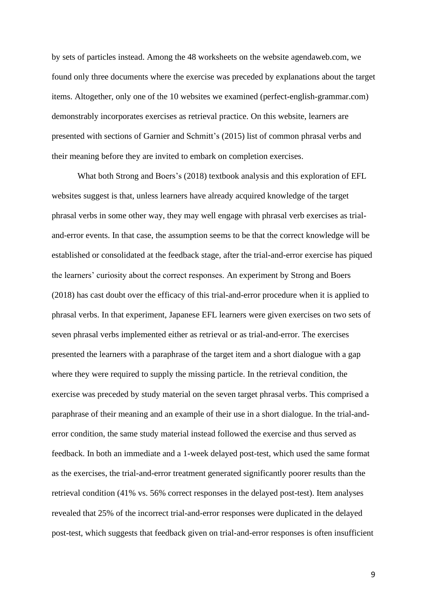by sets of particles instead. Among the 48 worksheets on the website agendaweb.com, we found only three documents where the exercise was preceded by explanations about the target items. Altogether, only one of the 10 websites we examined (perfect-english-grammar.com) demonstrably incorporates exercises as retrieval practice. On this website, learners are presented with sections of Garnier and Schmitt's (2015) list of common phrasal verbs and their meaning before they are invited to embark on completion exercises.

What both Strong and Boers's (2018) textbook analysis and this exploration of EFL websites suggest is that, unless learners have already acquired knowledge of the target phrasal verbs in some other way, they may well engage with phrasal verb exercises as trialand-error events. In that case, the assumption seems to be that the correct knowledge will be established or consolidated at the feedback stage, after the trial-and-error exercise has piqued the learners' curiosity about the correct responses. An experiment by Strong and Boers (2018) has cast doubt over the efficacy of this trial-and-error procedure when it is applied to phrasal verbs. In that experiment, Japanese EFL learners were given exercises on two sets of seven phrasal verbs implemented either as retrieval or as trial-and-error. The exercises presented the learners with a paraphrase of the target item and a short dialogue with a gap where they were required to supply the missing particle. In the retrieval condition, the exercise was preceded by study material on the seven target phrasal verbs. This comprised a paraphrase of their meaning and an example of their use in a short dialogue. In the trial-anderror condition, the same study material instead followed the exercise and thus served as feedback. In both an immediate and a 1-week delayed post-test, which used the same format as the exercises, the trial-and-error treatment generated significantly poorer results than the retrieval condition (41% vs. 56% correct responses in the delayed post-test). Item analyses revealed that 25% of the incorrect trial-and-error responses were duplicated in the delayed post-test, which suggests that feedback given on trial-and-error responses is often insufficient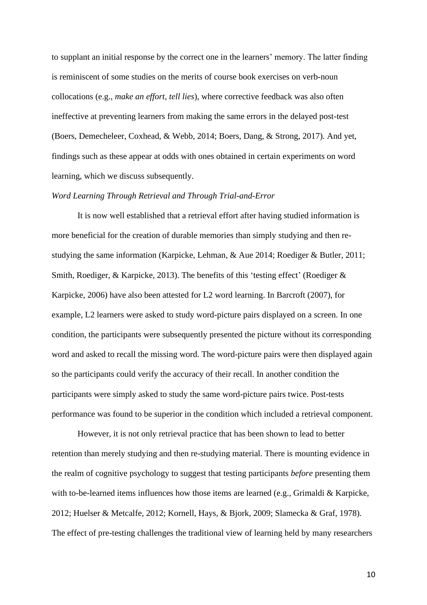to supplant an initial response by the correct one in the learners' memory. The latter finding is reminiscent of some studies on the merits of course book exercises on verb-noun collocations (e.g., *make an effort*, *tell lies*), where corrective feedback was also often ineffective at preventing learners from making the same errors in the delayed post-test (Boers, Demecheleer, Coxhead, & Webb, 2014; Boers, Dang, & Strong, 2017). And yet, findings such as these appear at odds with ones obtained in certain experiments on word learning, which we discuss subsequently.

#### *Word Learning Through Retrieval and Through Trial-and-Error*

It is now well established that a retrieval effort after having studied information is more beneficial for the creation of durable memories than simply studying and then restudying the same information (Karpicke, Lehman, & Aue 2014; Roediger & Butler, 2011; Smith, Roediger, & Karpicke, 2013). The benefits of this 'testing effect' (Roediger & Karpicke, 2006) have also been attested for L2 word learning. In Barcroft (2007), for example, L2 learners were asked to study word-picture pairs displayed on a screen. In one condition, the participants were subsequently presented the picture without its corresponding word and asked to recall the missing word. The word-picture pairs were then displayed again so the participants could verify the accuracy of their recall. In another condition the participants were simply asked to study the same word-picture pairs twice. Post-tests performance was found to be superior in the condition which included a retrieval component.

However, it is not only retrieval practice that has been shown to lead to better retention than merely studying and then re-studying material. There is mounting evidence in the realm of cognitive psychology to suggest that testing participants *before* presenting them with to-be-learned items influences how those items are learned (e.g., Grimaldi & Karpicke, 2012; Huelser & Metcalfe, 2012; Kornell, Hays, & Bjork, 2009; Slamecka & Graf, 1978). The effect of pre-testing challenges the traditional view of learning held by many researchers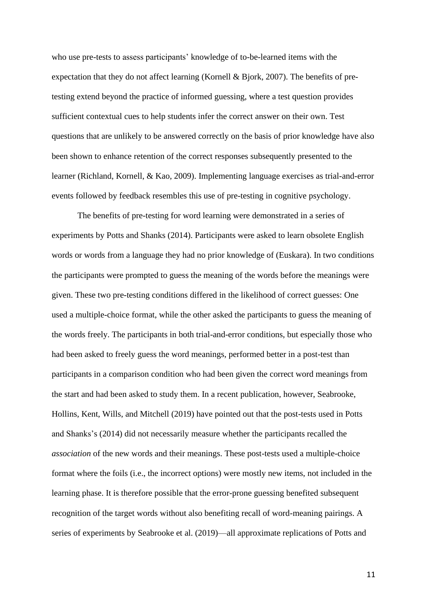who use pre-tests to assess participants' knowledge of to-be-learned items with the expectation that they do not affect learning (Kornell & Bjork, 2007). The benefits of pretesting extend beyond the practice of informed guessing, where a test question provides sufficient contextual cues to help students infer the correct answer on their own. Test questions that are unlikely to be answered correctly on the basis of prior knowledge have also been shown to enhance retention of the correct responses subsequently presented to the learner (Richland, Kornell, & Kao, 2009). Implementing language exercises as trial-and-error events followed by feedback resembles this use of pre-testing in cognitive psychology.

The benefits of pre-testing for word learning were demonstrated in a series of experiments by Potts and Shanks (2014). Participants were asked to learn obsolete English words or words from a language they had no prior knowledge of (Euskara). In two conditions the participants were prompted to guess the meaning of the words before the meanings were given. These two pre-testing conditions differed in the likelihood of correct guesses: One used a multiple-choice format, while the other asked the participants to guess the meaning of the words freely. The participants in both trial-and-error conditions, but especially those who had been asked to freely guess the word meanings, performed better in a post-test than participants in a comparison condition who had been given the correct word meanings from the start and had been asked to study them. In a recent publication, however, Seabrooke, Hollins, Kent, Wills, and Mitchell (2019) have pointed out that the post-tests used in Potts and Shanks's (2014) did not necessarily measure whether the participants recalled the *association* of the new words and their meanings. These post-tests used a multiple-choice format where the foils (i.e., the incorrect options) were mostly new items, not included in the learning phase. It is therefore possible that the error-prone guessing benefited subsequent recognition of the target words without also benefiting recall of word-meaning pairings. A series of experiments by Seabrooke et al. (2019)—all approximate replications of Potts and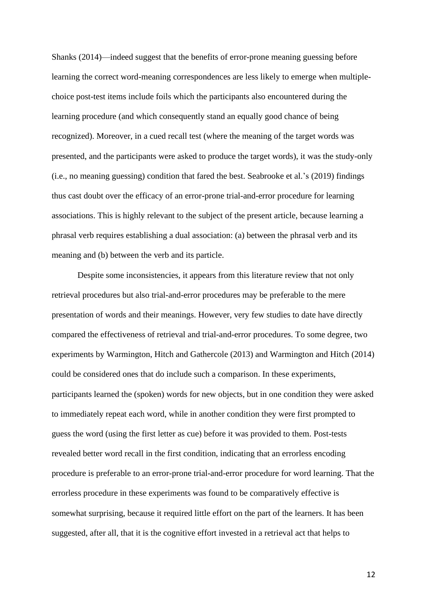Shanks (2014)—indeed suggest that the benefits of error-prone meaning guessing before learning the correct word-meaning correspondences are less likely to emerge when multiplechoice post-test items include foils which the participants also encountered during the learning procedure (and which consequently stand an equally good chance of being recognized). Moreover, in a cued recall test (where the meaning of the target words was presented, and the participants were asked to produce the target words), it was the study-only (i.e., no meaning guessing) condition that fared the best. Seabrooke et al.'s (2019) findings thus cast doubt over the efficacy of an error-prone trial-and-error procedure for learning associations. This is highly relevant to the subject of the present article, because learning a phrasal verb requires establishing a dual association: (a) between the phrasal verb and its meaning and (b) between the verb and its particle.

Despite some inconsistencies, it appears from this literature review that not only retrieval procedures but also trial-and-error procedures may be preferable to the mere presentation of words and their meanings. However, very few studies to date have directly compared the effectiveness of retrieval and trial-and-error procedures. To some degree, two experiments by Warmington, Hitch and Gathercole (2013) and Warmington and Hitch (2014) could be considered ones that do include such a comparison. In these experiments, participants learned the (spoken) words for new objects, but in one condition they were asked to immediately repeat each word, while in another condition they were first prompted to guess the word (using the first letter as cue) before it was provided to them. Post-tests revealed better word recall in the first condition, indicating that an errorless encoding procedure is preferable to an error-prone trial-and-error procedure for word learning. That the errorless procedure in these experiments was found to be comparatively effective is somewhat surprising, because it required little effort on the part of the learners. It has been suggested, after all, that it is the cognitive effort invested in a retrieval act that helps to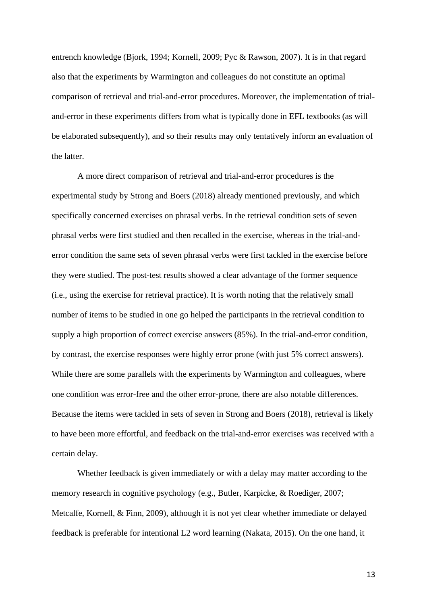entrench knowledge (Bjork, 1994; Kornell, 2009; Pyc & Rawson, 2007). It is in that regard also that the experiments by Warmington and colleagues do not constitute an optimal comparison of retrieval and trial-and-error procedures. Moreover, the implementation of trialand-error in these experiments differs from what is typically done in EFL textbooks (as will be elaborated subsequently), and so their results may only tentatively inform an evaluation of the latter.

A more direct comparison of retrieval and trial-and-error procedures is the experimental study by Strong and Boers (2018) already mentioned previously, and which specifically concerned exercises on phrasal verbs. In the retrieval condition sets of seven phrasal verbs were first studied and then recalled in the exercise, whereas in the trial-anderror condition the same sets of seven phrasal verbs were first tackled in the exercise before they were studied. The post-test results showed a clear advantage of the former sequence (i.e., using the exercise for retrieval practice). It is worth noting that the relatively small number of items to be studied in one go helped the participants in the retrieval condition to supply a high proportion of correct exercise answers (85%). In the trial-and-error condition, by contrast, the exercise responses were highly error prone (with just 5% correct answers). While there are some parallels with the experiments by Warmington and colleagues, where one condition was error-free and the other error-prone, there are also notable differences. Because the items were tackled in sets of seven in Strong and Boers (2018), retrieval is likely to have been more effortful, and feedback on the trial-and-error exercises was received with a certain delay.

Whether feedback is given immediately or with a delay may matter according to the memory research in cognitive psychology (e.g., Butler, Karpicke, & Roediger, 2007; Metcalfe, Kornell, & Finn, 2009), although it is not yet clear whether immediate or delayed feedback is preferable for intentional L2 word learning (Nakata, 2015). On the one hand, it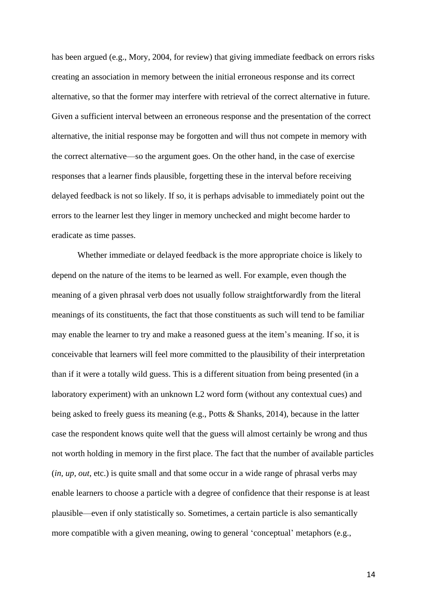has been argued (e.g., Mory, 2004, for review) that giving immediate feedback on errors risks creating an association in memory between the initial erroneous response and its correct alternative, so that the former may interfere with retrieval of the correct alternative in future. Given a sufficient interval between an erroneous response and the presentation of the correct alternative, the initial response may be forgotten and will thus not compete in memory with the correct alternative—so the argument goes. On the other hand, in the case of exercise responses that a learner finds plausible, forgetting these in the interval before receiving delayed feedback is not so likely. If so, it is perhaps advisable to immediately point out the errors to the learner lest they linger in memory unchecked and might become harder to eradicate as time passes.

Whether immediate or delayed feedback is the more appropriate choice is likely to depend on the nature of the items to be learned as well. For example, even though the meaning of a given phrasal verb does not usually follow straightforwardly from the literal meanings of its constituents, the fact that those constituents as such will tend to be familiar may enable the learner to try and make a reasoned guess at the item's meaning. If so, it is conceivable that learners will feel more committed to the plausibility of their interpretation than if it were a totally wild guess. This is a different situation from being presented (in a laboratory experiment) with an unknown L2 word form (without any contextual cues) and being asked to freely guess its meaning (e.g., Potts & Shanks, 2014), because in the latter case the respondent knows quite well that the guess will almost certainly be wrong and thus not worth holding in memory in the first place. The fact that the number of available particles (*in, up, out*, etc.) is quite small and that some occur in a wide range of phrasal verbs may enable learners to choose a particle with a degree of confidence that their response is at least plausible—even if only statistically so. Sometimes, a certain particle is also semantically more compatible with a given meaning, owing to general 'conceptual' metaphors (e.g.,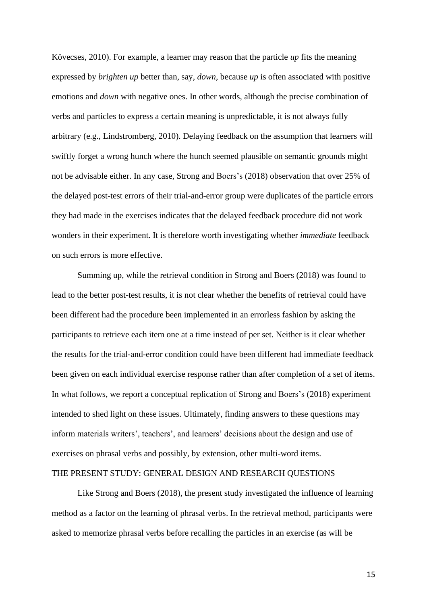Kövecses, 2010). For example, a learner may reason that the particle *up* fits the meaning expressed by *brighten up* better than, say, *down*, because *up* is often associated with positive emotions and *down* with negative ones. In other words, although the precise combination of verbs and particles to express a certain meaning is unpredictable, it is not always fully arbitrary (e.g., Lindstromberg, 2010). Delaying feedback on the assumption that learners will swiftly forget a wrong hunch where the hunch seemed plausible on semantic grounds might not be advisable either. In any case, Strong and Boers's (2018) observation that over 25% of the delayed post-test errors of their trial-and-error group were duplicates of the particle errors they had made in the exercises indicates that the delayed feedback procedure did not work wonders in their experiment. It is therefore worth investigating whether *immediate* feedback on such errors is more effective.

Summing up, while the retrieval condition in Strong and Boers (2018) was found to lead to the better post-test results, it is not clear whether the benefits of retrieval could have been different had the procedure been implemented in an errorless fashion by asking the participants to retrieve each item one at a time instead of per set. Neither is it clear whether the results for the trial-and-error condition could have been different had immediate feedback been given on each individual exercise response rather than after completion of a set of items. In what follows, we report a conceptual replication of Strong and Boers's (2018) experiment intended to shed light on these issues. Ultimately, finding answers to these questions may inform materials writers', teachers', and learners' decisions about the design and use of exercises on phrasal verbs and possibly, by extension, other multi-word items.

## THE PRESENT STUDY: GENERAL DESIGN AND RESEARCH QUESTIONS

Like Strong and Boers (2018), the present study investigated the influence of learning method as a factor on the learning of phrasal verbs. In the retrieval method, participants were asked to memorize phrasal verbs before recalling the particles in an exercise (as will be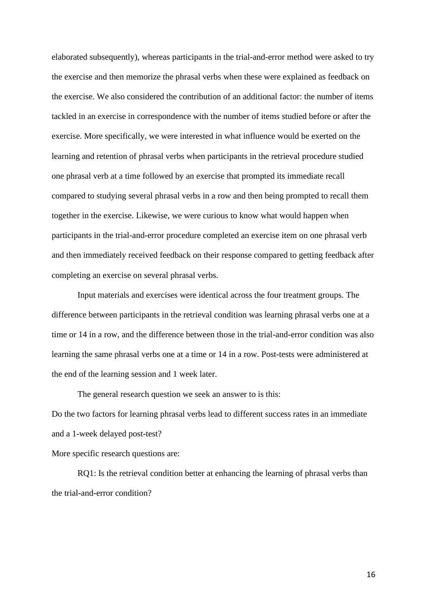elaborated subsequently), whereas participants in the trial-and-error method were asked to try the exercise and then memorize the phrasal verbs when these were explained as feedback on the exercise. We also considered the contribution of an additional factor: the number of items tackled in an exercise in correspondence with the number of items studied before or after the exercise. More specifically, we were interested in what influence would be exerted on the learning and retention of phrasal verbs when participants in the retrieval procedure studied one phrasal verb at a time followed by an exercise that prompted its immediate recall compared to studying several phrasal verbs in a row and then being prompted to recall them together in the exercise. Likewise, we were curious to know what would happen when participants in the trial-and-error procedure completed an exercise item on one phrasal verb and then immediately received feedback on their response compared to getting feedback after completing an exercise on several phrasal verbs.

Input materials and exercises were identical across the four treatment groups. The difference between participants in the retrieval condition was learning phrasal verbs one at a time or 14 in a row, and the difference between those in the trial-and-error condition was also learning the same phrasal verbs one at a time or 14 in a row. Post-tests were administered at the end of the learning session and 1 week later.

The general research question we seek an answer to is this: Do the two factors for learning phrasal verbs lead to different success rates in an immediate and a 1-week delayed post-test?

More specific research questions are:

RQ1: Is the retrieval condition better at enhancing the learning of phrasal verbs than the trial-and-error condition?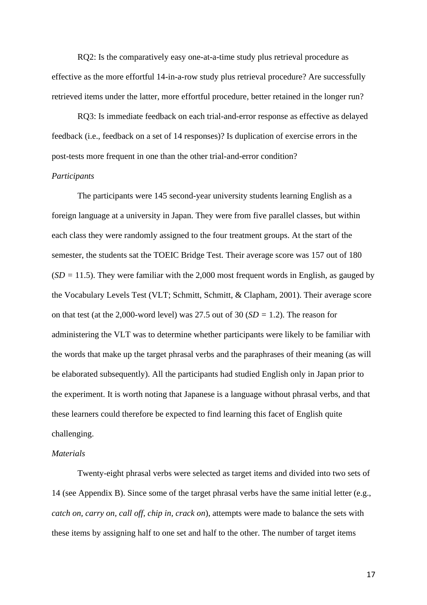RQ2: Is the comparatively easy one-at-a-time study plus retrieval procedure as effective as the more effortful 14-in-a-row study plus retrieval procedure? Are successfully retrieved items under the latter, more effortful procedure, better retained in the longer run?

RQ3: Is immediate feedback on each trial-and-error response as effective as delayed feedback (i.e., feedback on a set of 14 responses)? Is duplication of exercise errors in the post-tests more frequent in one than the other trial-and-error condition?

## *Participants*

The participants were 145 second-year university students learning English as a foreign language at a university in Japan. They were from five parallel classes, but within each class they were randomly assigned to the four treatment groups. At the start of the semester, the students sat the TOEIC Bridge Test. Their average score was 157 out of 180 (*SD =* 11.5). They were familiar with the 2,000 most frequent words in English, as gauged by the Vocabulary Levels Test (VLT; Schmitt, Schmitt, & Clapham, 2001). Their average score on that test (at the 2,000-word level) was 27.5 out of 30 (*SD =* 1.2). The reason for administering the VLT was to determine whether participants were likely to be familiar with the words that make up the target phrasal verbs and the paraphrases of their meaning (as will be elaborated subsequently). All the participants had studied English only in Japan prior to the experiment. It is worth noting that Japanese is a language without phrasal verbs, and that these learners could therefore be expected to find learning this facet of English quite challenging.

## *Materials*

Twenty-eight phrasal verbs were selected as target items and divided into two sets of 14 (see Appendix B). Since some of the target phrasal verbs have the same initial letter (e.g., *catch on, carry on, call off, chip in, crack on*), attempts were made to balance the sets with these items by assigning half to one set and half to the other. The number of target items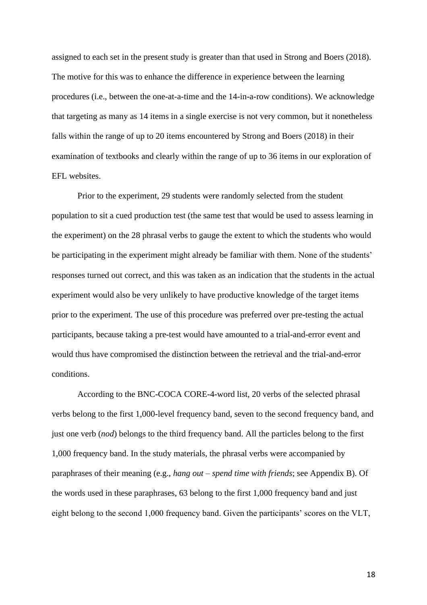assigned to each set in the present study is greater than that used in Strong and Boers (2018). The motive for this was to enhance the difference in experience between the learning procedures (i.e., between the one-at-a-time and the 14-in-a-row conditions). We acknowledge that targeting as many as 14 items in a single exercise is not very common, but it nonetheless falls within the range of up to 20 items encountered by Strong and Boers (2018) in their examination of textbooks and clearly within the range of up to 36 items in our exploration of EFL websites.

Prior to the experiment, 29 students were randomly selected from the student population to sit a cued production test (the same test that would be used to assess learning in the experiment) on the 28 phrasal verbs to gauge the extent to which the students who would be participating in the experiment might already be familiar with them. None of the students' responses turned out correct, and this was taken as an indication that the students in the actual experiment would also be very unlikely to have productive knowledge of the target items prior to the experiment. The use of this procedure was preferred over pre-testing the actual participants, because taking a pre-test would have amounted to a trial-and-error event and would thus have compromised the distinction between the retrieval and the trial-and-error conditions.

According to the BNC-COCA CORE-4-word list, 20 verbs of the selected phrasal verbs belong to the first 1,000-level frequency band, seven to the second frequency band, and just one verb (*nod*) belongs to the third frequency band. All the particles belong to the first 1,000 frequency band. In the study materials, the phrasal verbs were accompanied by paraphrases of their meaning (e.g., *hang out – spend time with friends*; see Appendix B). Of the words used in these paraphrases, 63 belong to the first 1,000 frequency band and just eight belong to the second 1,000 frequency band. Given the participants' scores on the VLT,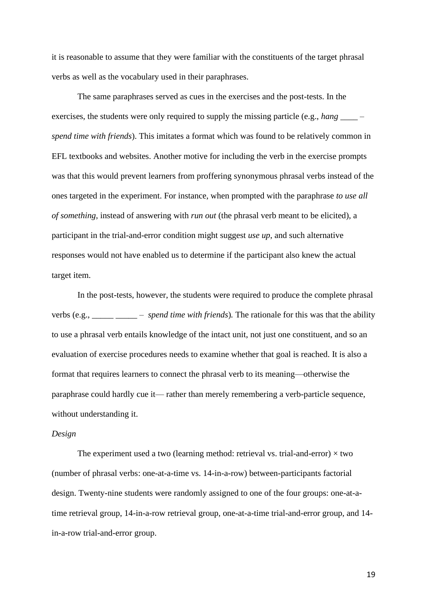it is reasonable to assume that they were familiar with the constituents of the target phrasal verbs as well as the vocabulary used in their paraphrases.

The same paraphrases served as cues in the exercises and the post-tests. In the exercises, the students were only required to supply the missing particle (e.g., *hang* \_\_\_\_\_ *spend time with friends*). This imitates a format which was found to be relatively common in EFL textbooks and websites. Another motive for including the verb in the exercise prompts was that this would prevent learners from proffering synonymous phrasal verbs instead of the ones targeted in the experiment. For instance, when prompted with the paraphrase *to use all of something*, instead of answering with *run out* (the phrasal verb meant to be elicited), a participant in the trial-and-error condition might suggest *use up*, and such alternative responses would not have enabled us to determine if the participant also knew the actual target item.

In the post-tests, however, the students were required to produce the complete phrasal verbs (e.g., *\_\_\_\_\_ \_\_\_\_\_ – spend time with friends*)*.* The rationale for this was that the ability to use a phrasal verb entails knowledge of the intact unit, not just one constituent, and so an evaluation of exercise procedures needs to examine whether that goal is reached. It is also a format that requires learners to connect the phrasal verb to its meaning—otherwise the paraphrase could hardly cue it— rather than merely remembering a verb-particle sequence, without understanding it.

#### *Design*

The experiment used a two (learning method: retrieval vs. trial-and-error)  $\times$  two (number of phrasal verbs: one-at-a-time vs. 14-in-a-row) between-participants factorial design. Twenty-nine students were randomly assigned to one of the four groups: one-at-atime retrieval group, 14-in-a-row retrieval group, one-at-a-time trial-and-error group, and 14 in-a-row trial-and-error group.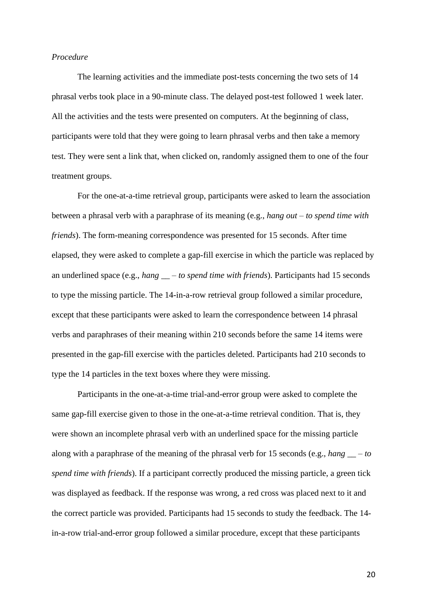## *Procedure*

The learning activities and the immediate post-tests concerning the two sets of 14 phrasal verbs took place in a 90-minute class. The delayed post-test followed 1 week later. All the activities and the tests were presented on computers. At the beginning of class, participants were told that they were going to learn phrasal verbs and then take a memory test. They were sent a link that, when clicked on, randomly assigned them to one of the four treatment groups.

For the one-at-a-time retrieval group, participants were asked to learn the association between a phrasal verb with a paraphrase of its meaning (e.g., *hang out – to spend time with friends*). The form-meaning correspondence was presented for 15 seconds. After time elapsed, they were asked to complete a gap-fill exercise in which the particle was replaced by an underlined space (e.g., *hang \_\_ – to spend time with friends*). Participants had 15 seconds to type the missing particle. The 14-in-a-row retrieval group followed a similar procedure, except that these participants were asked to learn the correspondence between 14 phrasal verbs and paraphrases of their meaning within 210 seconds before the same 14 items were presented in the gap-fill exercise with the particles deleted. Participants had 210 seconds to type the 14 particles in the text boxes where they were missing.

Participants in the one-at-a-time trial-and-error group were asked to complete the same gap-fill exercise given to those in the one-at-a-time retrieval condition. That is, they were shown an incomplete phrasal verb with an underlined space for the missing particle along with a paraphrase of the meaning of the phrasal verb for 15 seconds (e.g., *hang \_\_ – to spend time with friends*). If a participant correctly produced the missing particle, a green tick was displayed as feedback. If the response was wrong, a red cross was placed next to it and the correct particle was provided. Participants had 15 seconds to study the feedback. The 14 in-a-row trial-and-error group followed a similar procedure, except that these participants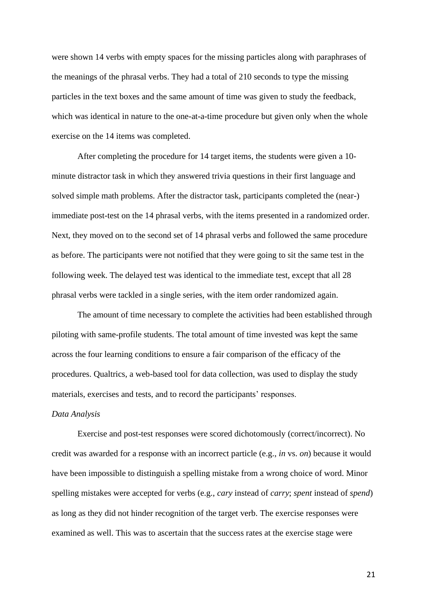were shown 14 verbs with empty spaces for the missing particles along with paraphrases of the meanings of the phrasal verbs. They had a total of 210 seconds to type the missing particles in the text boxes and the same amount of time was given to study the feedback, which was identical in nature to the one-at-a-time procedure but given only when the whole exercise on the 14 items was completed.

After completing the procedure for 14 target items, the students were given a 10 minute distractor task in which they answered trivia questions in their first language and solved simple math problems. After the distractor task, participants completed the (near-) immediate post-test on the 14 phrasal verbs, with the items presented in a randomized order. Next, they moved on to the second set of 14 phrasal verbs and followed the same procedure as before. The participants were not notified that they were going to sit the same test in the following week. The delayed test was identical to the immediate test, except that all 28 phrasal verbs were tackled in a single series, with the item order randomized again.

The amount of time necessary to complete the activities had been established through piloting with same-profile students. The total amount of time invested was kept the same across the four learning conditions to ensure a fair comparison of the efficacy of the procedures. Qualtrics, a web-based tool for data collection, was used to display the study materials, exercises and tests, and to record the participants' responses.

#### *Data Analysis*

Exercise and post-test responses were scored dichotomously (correct/incorrect). No credit was awarded for a response with an incorrect particle (e.g., *in* vs. *on*) because it would have been impossible to distinguish a spelling mistake from a wrong choice of word. Minor spelling mistakes were accepted for verbs (e.g., *cary* instead of *carry*; *spent* instead of *spend*) as long as they did not hinder recognition of the target verb. The exercise responses were examined as well. This was to ascertain that the success rates at the exercise stage were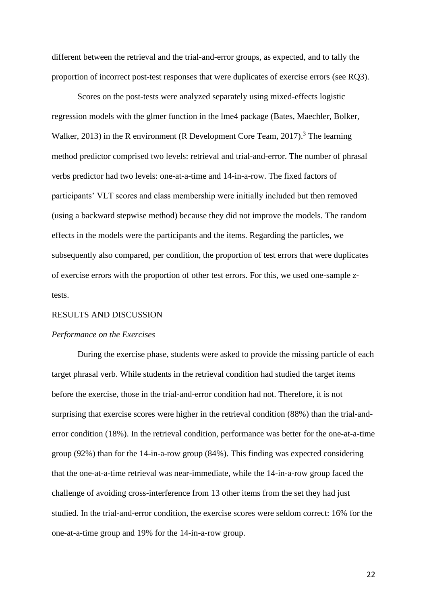different between the retrieval and the trial-and-error groups, as expected, and to tally the proportion of incorrect post-test responses that were duplicates of exercise errors (see RQ3).

Scores on the post-tests were analyzed separately using mixed-effects logistic regression models with the glmer function in the lme4 package (Bates, Maechler, Bolker, Walker, 2013) in the R environment (R Development Core Team, 2017).<sup>3</sup> The learning method predictor comprised two levels: retrieval and trial-and-error. The number of phrasal verbs predictor had two levels: one-at-a-time and 14-in-a-row. The fixed factors of participants' VLT scores and class membership were initially included but then removed (using a backward stepwise method) because they did not improve the models. The random effects in the models were the participants and the items. Regarding the particles, we subsequently also compared, per condition, the proportion of test errors that were duplicates of exercise errors with the proportion of other test errors. For this, we used one-sample *z*tests.

#### RESULTS AND DISCUSSION

#### *Performance on the Exercises*

During the exercise phase, students were asked to provide the missing particle of each target phrasal verb. While students in the retrieval condition had studied the target items before the exercise, those in the trial-and-error condition had not. Therefore, it is not surprising that exercise scores were higher in the retrieval condition (88%) than the trial-anderror condition (18%). In the retrieval condition, performance was better for the one-at-a-time group (92%) than for the 14-in-a-row group (84%). This finding was expected considering that the one-at-a-time retrieval was near-immediate, while the 14-in-a-row group faced the challenge of avoiding cross-interference from 13 other items from the set they had just studied. In the trial-and-error condition, the exercise scores were seldom correct: 16% for the one-at-a-time group and 19% for the 14-in-a-row group.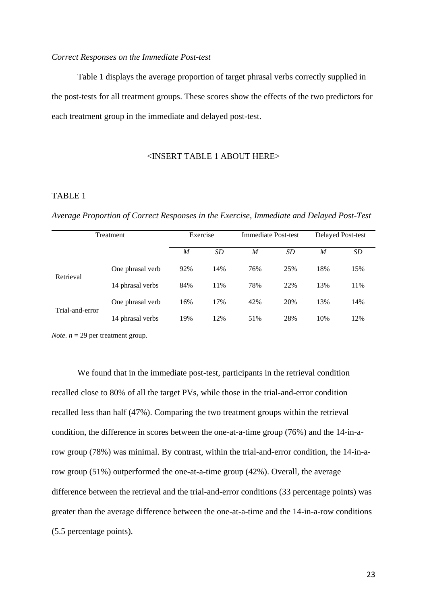## *Correct Responses on the Immediate Post-test*

Table 1 displays the average proportion of target phrasal verbs correctly supplied in the post-tests for all treatment groups. These scores show the effects of the two predictors for each treatment group in the immediate and delayed post-test.

# <INSERT TABLE 1 ABOUT HERE>

## TABLE 1

*Average Proportion of Correct Responses in the Exercise, Immediate and Delayed Post-Test*

| Treatment       |                  | Exercise |           | <b>Immediate Post-test</b> |           | Delayed Post-test |     |
|-----------------|------------------|----------|-----------|----------------------------|-----------|-------------------|-----|
|                 |                  | M        | <b>SD</b> | M                          | <b>SD</b> | M                 | SD  |
| Retrieval       | One phrasal verb | 92%      | 14%       | 76%                        | 25%       | 18%               | 15% |
|                 | 14 phrasal verbs | 84%      | 11%       | 78%                        | 22%       | 13%               | 11% |
| Trial-and-error | One phrasal verb | 16%      | 17%       | 42%                        | 20%       | 13%               | 14% |
|                 | 14 phrasal verbs | 19%      | 12%       | 51%                        | 28%       | 10%               | 12% |

*Note*.  $n = 29$  per treatment group.

We found that in the immediate post-test, participants in the retrieval condition recalled close to 80% of all the target PVs, while those in the trial-and-error condition recalled less than half (47%). Comparing the two treatment groups within the retrieval condition, the difference in scores between the one-at-a-time group (76%) and the 14-in-arow group (78%) was minimal. By contrast, within the trial-and-error condition, the 14-in-arow group (51%) outperformed the one-at-a-time group (42%). Overall, the average difference between the retrieval and the trial-and-error conditions (33 percentage points) was greater than the average difference between the one-at-a-time and the 14-in-a-row conditions (5.5 percentage points).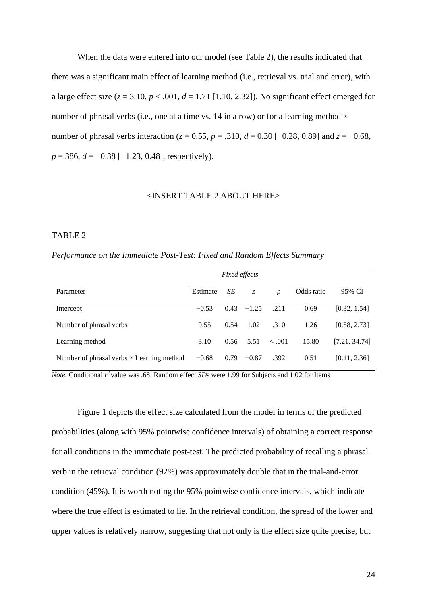When the data were entered into our model (see Table 2), the results indicated that there was a significant main effect of learning method (i.e., retrieval vs. trial and error), with a large effect size  $(z = 3.10, p < .001, d = 1.71$  [1.10, 2.32]). No significant effect emerged for number of phrasal verbs (i.e., one at a time vs. 14 in a row) or for a learning method  $\times$ number of phrasal verbs interaction ( $z = 0.55$ ,  $p = .310$ ,  $d = 0.30$  [−0.28, 0.89] and  $z = -0.68$ , *p* = 386, *d* = −0.38 [−1.23, 0.48], respectively).

## <INSERT TABLE 2 ABOUT HERE>

## TABLE 2

*Performance on the Immediate Post-Test: Fixed and Random Effects Summary*

|                                                  | <b>Fixed effects</b> |      |             |                  |            |               |
|--------------------------------------------------|----------------------|------|-------------|------------------|------------|---------------|
| Parameter                                        | Estimate             | SE   | $Z_{\cdot}$ | $\boldsymbol{p}$ | Odds ratio | 95% CI        |
| Intercept                                        | $-0.53$              | 0.43 | $-1.25$     | .211             | 0.69       | [0.32, 1.54]  |
| Number of phrasal verbs                          | 0.55                 | 0.54 | 1.02        | .310             | 1.26       | [0.58, 2.73]  |
| Learning method                                  | 3.10                 | 0.56 | 5.51        | < .001           | 15.80      | [7.21, 34.74] |
| Number of phrasal verbs $\times$ Learning method | $-0.68$              | 0.79 | $-0.87$     | .392             | 0.51       | [0.11, 2.36]  |

*Note.* Conditional *r <sup>2</sup>*value was .68. Random effect *SD*s were 1.99 for Subjects and 1.02 for Items

Figure 1 depicts the effect size calculated from the model in terms of the predicted probabilities (along with 95% pointwise confidence intervals) of obtaining a correct response for all conditions in the immediate post-test. The predicted probability of recalling a phrasal verb in the retrieval condition (92%) was approximately double that in the trial-and-error condition (45%). It is worth noting the 95% pointwise confidence intervals, which indicate where the true effect is estimated to lie. In the retrieval condition, the spread of the lower and upper values is relatively narrow, suggesting that not only is the effect size quite precise, but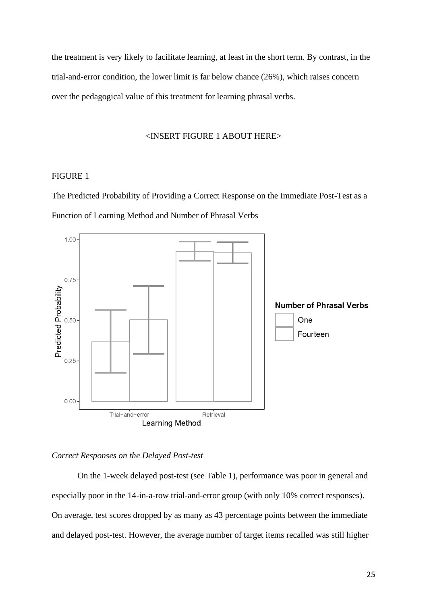the treatment is very likely to facilitate learning, at least in the short term. By contrast, in the trial-and-error condition, the lower limit is far below chance (26%), which raises concern over the pedagogical value of this treatment for learning phrasal verbs.

## <INSERT FIGURE 1 ABOUT HERE>

#### FIGURE 1

The Predicted Probability of Providing a Correct Response on the Immediate Post-Test as a Function of Learning Method and Number of Phrasal Verbs



## *Correct Responses on the Delayed Post-test*

On the 1-week delayed post-test (see Table 1), performance was poor in general and especially poor in the 14-in-a-row trial-and-error group (with only 10% correct responses). On average, test scores dropped by as many as 43 percentage points between the immediate and delayed post-test. However, the average number of target items recalled was still higher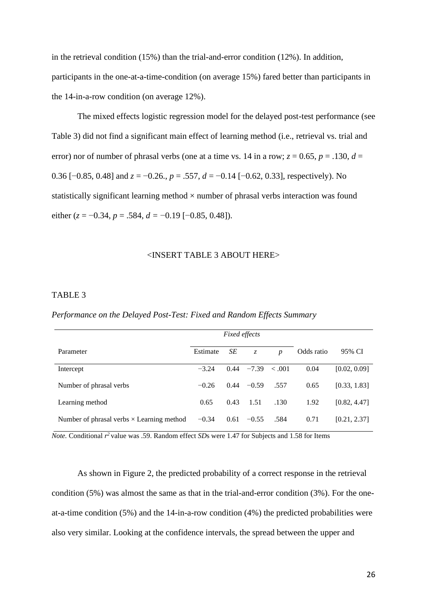in the retrieval condition (15%) than the trial-and-error condition (12%). In addition, participants in the one-at-a-time-condition (on average 15%) fared better than participants in the 14-in-a-row condition (on average 12%).

The mixed effects logistic regression model for the delayed post-test performance (see Table 3) did not find a significant main effect of learning method (i.e., retrieval vs. trial and error) nor of number of phrasal verbs (one at a time vs. 14 in a row;  $z = 0.65$ ,  $p = .130$ ,  $d =$ 0.36 [−0.85, 0.48] and *z* = −0.26., *p* = .557, *d* = −0.14 [−0.62, 0.33], respectively). No statistically significant learning method  $\times$  number of phrasal verbs interaction was found either (*z* = −0.34, *p* = .584, *d =* −0.19 [−0.85, 0.48]).

## <INSERT TABLE 3 ABOUT HERE>

## TABLE 3

*Performance on the Delayed Post-Test: Fixed and Random Effects Summary* 

|                                                  | <i>Fixed effects</i> |      |             |                  |            |              |
|--------------------------------------------------|----------------------|------|-------------|------------------|------------|--------------|
| Parameter                                        | Estimate             | SЕ   | $Z_{\cdot}$ | $\boldsymbol{p}$ | Odds ratio | 95% CI       |
| Intercept                                        | $-3.24$              | 0.44 | $-7.39$     | < 0.001          | 0.04       | [0.02, 0.09] |
| Number of phrasal verbs                          | $-0.26$              | 0.44 | $-0.59$     | .557             | 0.65       | [0.33, 1.83] |
| Learning method                                  | 0.65                 | 0.43 | 1.51        | .130             | 1.92       | [0.82, 4.47] |
| Number of phrasal verbs $\times$ Learning method | $-0.34$              | 0.61 | $-0.55$     | .584             | 0.71       | [0.21, 2.37] |

*Note.* Conditional *r <sup>2</sup>*value was .59. Random effect *SD*s were 1.47 for Subjects and 1.58 for Items

As shown in Figure 2, the predicted probability of a correct response in the retrieval condition (5%) was almost the same as that in the trial-and-error condition (3%). For the oneat-a-time condition (5%) and the 14-in-a-row condition (4%) the predicted probabilities were also very similar. Looking at the confidence intervals, the spread between the upper and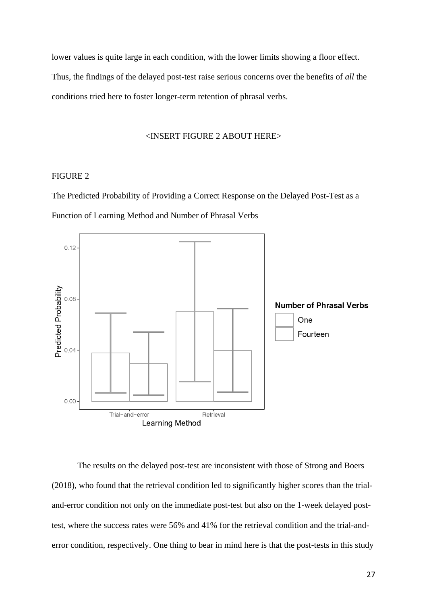lower values is quite large in each condition, with the lower limits showing a floor effect. Thus, the findings of the delayed post-test raise serious concerns over the benefits of *all* the conditions tried here to foster longer-term retention of phrasal verbs.

#### <INSERT FIGURE 2 ABOUT HERE>

#### FIGURE 2

The Predicted Probability of Providing a Correct Response on the Delayed Post-Test as a Function of Learning Method and Number of Phrasal Verbs



The results on the delayed post-test are inconsistent with those of Strong and Boers (2018), who found that the retrieval condition led to significantly higher scores than the trialand-error condition not only on the immediate post-test but also on the 1-week delayed posttest, where the success rates were 56% and 41% for the retrieval condition and the trial-anderror condition, respectively. One thing to bear in mind here is that the post-tests in this study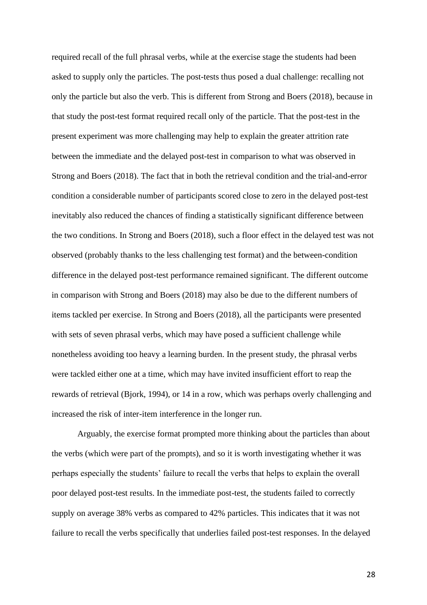required recall of the full phrasal verbs, while at the exercise stage the students had been asked to supply only the particles. The post-tests thus posed a dual challenge: recalling not only the particle but also the verb. This is different from Strong and Boers (2018), because in that study the post-test format required recall only of the particle. That the post-test in the present experiment was more challenging may help to explain the greater attrition rate between the immediate and the delayed post-test in comparison to what was observed in Strong and Boers (2018). The fact that in both the retrieval condition and the trial-and-error condition a considerable number of participants scored close to zero in the delayed post-test inevitably also reduced the chances of finding a statistically significant difference between the two conditions. In Strong and Boers (2018), such a floor effect in the delayed test was not observed (probably thanks to the less challenging test format) and the between-condition difference in the delayed post-test performance remained significant. The different outcome in comparison with Strong and Boers (2018) may also be due to the different numbers of items tackled per exercise. In Strong and Boers (2018), all the participants were presented with sets of seven phrasal verbs, which may have posed a sufficient challenge while nonetheless avoiding too heavy a learning burden. In the present study, the phrasal verbs were tackled either one at a time, which may have invited insufficient effort to reap the rewards of retrieval (Bjork, 1994), or 14 in a row, which was perhaps overly challenging and increased the risk of inter-item interference in the longer run.

Arguably, the exercise format prompted more thinking about the particles than about the verbs (which were part of the prompts), and so it is worth investigating whether it was perhaps especially the students' failure to recall the verbs that helps to explain the overall poor delayed post-test results. In the immediate post-test, the students failed to correctly supply on average 38% verbs as compared to 42% particles. This indicates that it was not failure to recall the verbs specifically that underlies failed post-test responses. In the delayed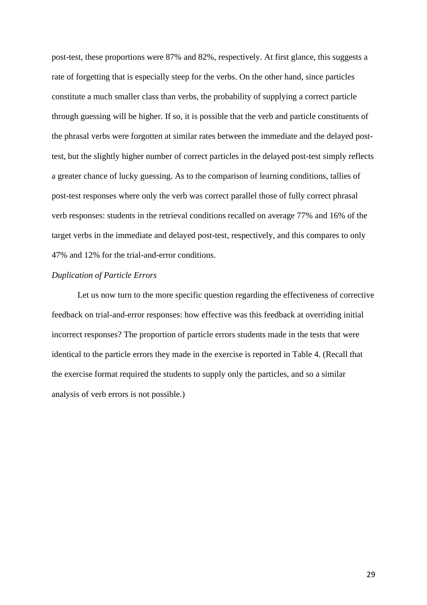post-test, these proportions were 87% and 82%, respectively. At first glance, this suggests a rate of forgetting that is especially steep for the verbs. On the other hand, since particles constitute a much smaller class than verbs, the probability of supplying a correct particle through guessing will be higher. If so, it is possible that the verb and particle constituents of the phrasal verbs were forgotten at similar rates between the immediate and the delayed posttest, but the slightly higher number of correct particles in the delayed post-test simply reflects a greater chance of lucky guessing. As to the comparison of learning conditions, tallies of post-test responses where only the verb was correct parallel those of fully correct phrasal verb responses: students in the retrieval conditions recalled on average 77% and 16% of the target verbs in the immediate and delayed post-test, respectively, and this compares to only 47% and 12% for the trial-and-error conditions.

## *Duplication of Particle Errors*

Let us now turn to the more specific question regarding the effectiveness of corrective feedback on trial-and-error responses: how effective was this feedback at overriding initial incorrect responses? The proportion of particle errors students made in the tests that were identical to the particle errors they made in the exercise is reported in Table 4. (Recall that the exercise format required the students to supply only the particles, and so a similar analysis of verb errors is not possible.)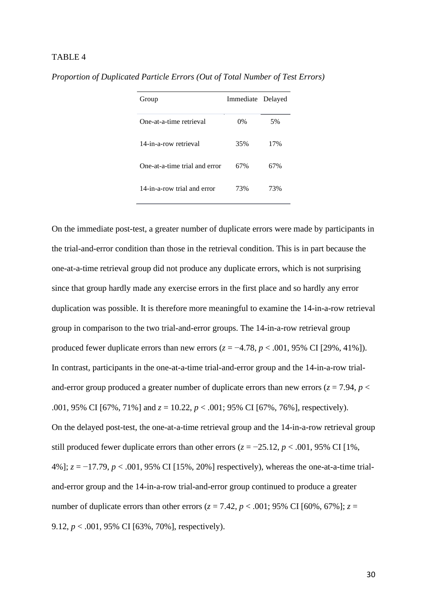## TABLE 4

| Immediate Delayed |     |
|-------------------|-----|
| 0%                | 5%  |
| 35%               | 17% |
| 67%               | 67% |
| 73%               | 73% |
|                   |     |

*Proportion of Duplicated Particle Errors (Out of Total Number of Test Errors)*

On the immediate post-test, a greater number of duplicate errors were made by participants in the trial-and-error condition than those in the retrieval condition. This is in part because the one-at-a-time retrieval group did not produce any duplicate errors, which is not surprising since that group hardly made any exercise errors in the first place and so hardly any error duplication was possible. It is therefore more meaningful to examine the 14-in-a-row retrieval group in comparison to the two trial-and-error groups. The 14-in-a-row retrieval group produced fewer duplicate errors than new errors  $(z = -4.78, p < .001, 95\% \text{ CI}$  [29%, 41%]). In contrast, participants in the one-at-a-time trial-and-error group and the 14-in-a-row trialand-error group produced a greater number of duplicate errors than new errors ( $z = 7.94$ ,  $p <$ .001, 95% CI [67%, 71%] and *z* = 10.22, *p* < .001; 95% CI [67%, 76%], respectively). On the delayed post-test, the one-at-a-time retrieval group and the 14-in-a-row retrieval group still produced fewer duplicate errors than other errors ( $z = -25.12$ ,  $p < .001$ , 95% CI [1%, 4%]; *z* = −17.79, *p* < .001, 95% CI [15%, 20%] respectively), whereas the one-at-a-time trialand-error group and the 14-in-a-row trial-and-error group continued to produce a greater number of duplicate errors than other errors ( $z = 7.42$ ,  $p < .001$ ; 95% CI [60%, 67%];  $z =$ 9.12, *p* < .001, 95% CI [63%, 70%], respectively).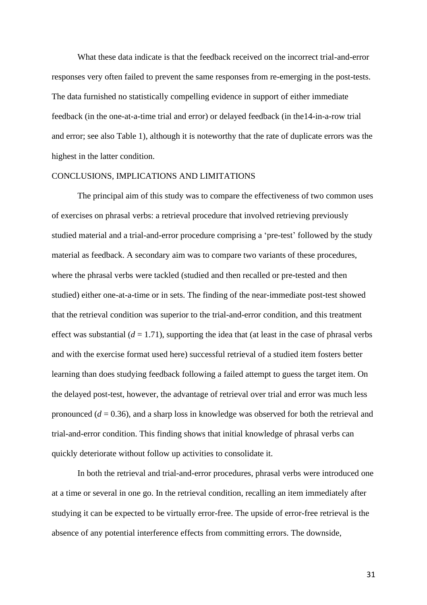What these data indicate is that the feedback received on the incorrect trial-and-error responses very often failed to prevent the same responses from re-emerging in the post-tests. The data furnished no statistically compelling evidence in support of either immediate feedback (in the one-at-a-time trial and error) or delayed feedback (in the14-in-a-row trial and error; see also Table 1), although it is noteworthy that the rate of duplicate errors was the highest in the latter condition.

#### CONCLUSIONS, IMPLICATIONS AND LIMITATIONS

The principal aim of this study was to compare the effectiveness of two common uses of exercises on phrasal verbs: a retrieval procedure that involved retrieving previously studied material and a trial-and-error procedure comprising a 'pre-test' followed by the study material as feedback. A secondary aim was to compare two variants of these procedures, where the phrasal verbs were tackled (studied and then recalled or pre-tested and then studied) either one-at-a-time or in sets. The finding of the near-immediate post-test showed that the retrieval condition was superior to the trial-and-error condition, and this treatment effect was substantial  $(d = 1.71)$ , supporting the idea that (at least in the case of phrasal verbs and with the exercise format used here) successful retrieval of a studied item fosters better learning than does studying feedback following a failed attempt to guess the target item. On the delayed post-test, however, the advantage of retrieval over trial and error was much less pronounced (*d* = 0.36), and a sharp loss in knowledge was observed for both the retrieval and trial-and-error condition. This finding shows that initial knowledge of phrasal verbs can quickly deteriorate without follow up activities to consolidate it.

In both the retrieval and trial-and-error procedures, phrasal verbs were introduced one at a time or several in one go. In the retrieval condition, recalling an item immediately after studying it can be expected to be virtually error-free. The upside of error-free retrieval is the absence of any potential interference effects from committing errors. The downside,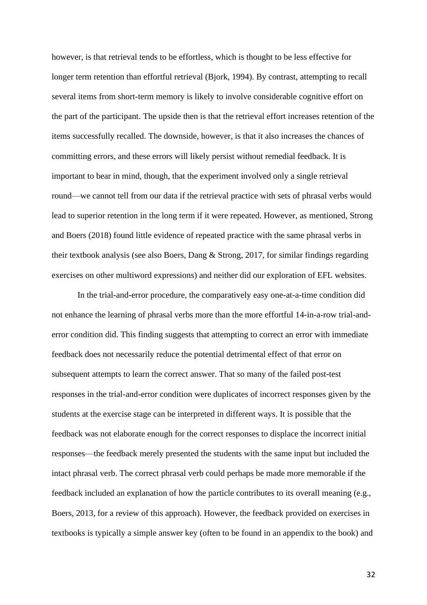however, is that retrieval tends to be effortless, which is thought to be less effective for longer term retention than effortful retrieval (Bjork, 1994). By contrast, attempting to recall several items from short-term memory is likely to involve considerable cognitive effort on the part of the participant. The upside then is that the retrieval effort increases retention of the items successfully recalled. The downside, however, is that it also increases the chances of committing errors, and these errors will likely persist without remedial feedback. It is important to bear in mind, though, that the experiment involved only a single retrieval round—we cannot tell from our data if the retrieval practice with sets of phrasal verbs would lead to superior retention in the long term if it were repeated. However, as mentioned, Strong and Boers (2018) found little evidence of repeated practice with the same phrasal verbs in their textbook analysis (see also Boers, Dang & Strong, 2017, for similar findings regarding exercises on other multiword expressions) and neither did our exploration of EFL websites.

In the trial-and-error procedure, the comparatively easy one-at-a-time condition did not enhance the learning of phrasal verbs more than the more effortful 14-in-a-row trial-anderror condition did. This finding suggests that attempting to correct an error with immediate feedback does not necessarily reduce the potential detrimental effect of that error on subsequent attempts to learn the correct answer. That so many of the failed post-test responses in the trial-and-error condition were duplicates of incorrect responses given by the students at the exercise stage can be interpreted in different ways. It is possible that the feedback was not elaborate enough for the correct responses to displace the incorrect initial responses—the feedback merely presented the students with the same input but included the intact phrasal verb. The correct phrasal verb could perhaps be made more memorable if the feedback included an explanation of how the particle contributes to its overall meaning (e.g., Boers, 2013, for a review of this approach). However, the feedback provided on exercises in textbooks is typically a simple answer key (often to be found in an appendix to the book) and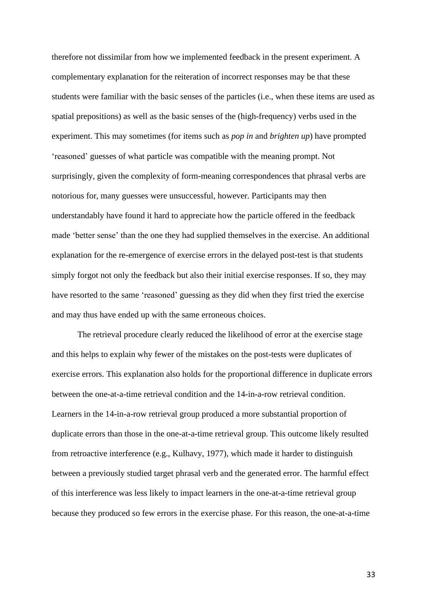therefore not dissimilar from how we implemented feedback in the present experiment. A complementary explanation for the reiteration of incorrect responses may be that these students were familiar with the basic senses of the particles (i.e., when these items are used as spatial prepositions) as well as the basic senses of the (high-frequency) verbs used in the experiment. This may sometimes (for items such as *pop in* and *brighten up*) have prompted 'reasoned' guesses of what particle was compatible with the meaning prompt. Not surprisingly, given the complexity of form-meaning correspondences that phrasal verbs are notorious for, many guesses were unsuccessful, however. Participants may then understandably have found it hard to appreciate how the particle offered in the feedback made 'better sense' than the one they had supplied themselves in the exercise. An additional explanation for the re-emergence of exercise errors in the delayed post-test is that students simply forgot not only the feedback but also their initial exercise responses. If so, they may have resorted to the same 'reasoned' guessing as they did when they first tried the exercise and may thus have ended up with the same erroneous choices.

The retrieval procedure clearly reduced the likelihood of error at the exercise stage and this helps to explain why fewer of the mistakes on the post-tests were duplicates of exercise errors. This explanation also holds for the proportional difference in duplicate errors between the one-at-a-time retrieval condition and the 14-in-a-row retrieval condition. Learners in the 14-in-a-row retrieval group produced a more substantial proportion of duplicate errors than those in the one-at-a-time retrieval group. This outcome likely resulted from retroactive interference (e.g., Kulhavy, 1977), which made it harder to distinguish between a previously studied target phrasal verb and the generated error. The harmful effect of this interference was less likely to impact learners in the one-at-a-time retrieval group because they produced so few errors in the exercise phase. For this reason, the one-at-a-time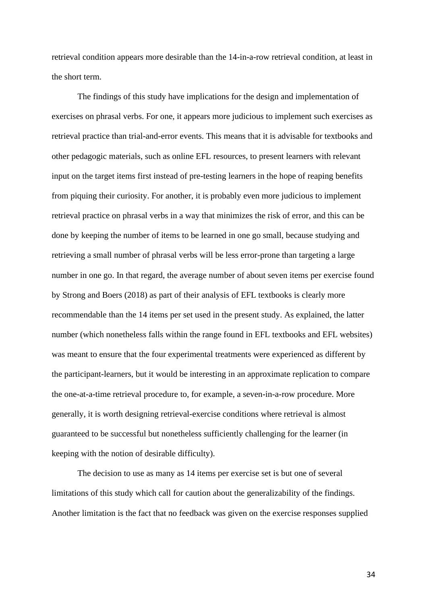retrieval condition appears more desirable than the 14-in-a-row retrieval condition, at least in the short term.

The findings of this study have implications for the design and implementation of exercises on phrasal verbs. For one, it appears more judicious to implement such exercises as retrieval practice than trial-and-error events. This means that it is advisable for textbooks and other pedagogic materials, such as online EFL resources, to present learners with relevant input on the target items first instead of pre-testing learners in the hope of reaping benefits from piquing their curiosity. For another, it is probably even more judicious to implement retrieval practice on phrasal verbs in a way that minimizes the risk of error, and this can be done by keeping the number of items to be learned in one go small, because studying and retrieving a small number of phrasal verbs will be less error-prone than targeting a large number in one go. In that regard, the average number of about seven items per exercise found by Strong and Boers (2018) as part of their analysis of EFL textbooks is clearly more recommendable than the 14 items per set used in the present study. As explained, the latter number (which nonetheless falls within the range found in EFL textbooks and EFL websites) was meant to ensure that the four experimental treatments were experienced as different by the participant-learners, but it would be interesting in an approximate replication to compare the one-at-a-time retrieval procedure to, for example, a seven-in-a-row procedure. More generally, it is worth designing retrieval-exercise conditions where retrieval is almost guaranteed to be successful but nonetheless sufficiently challenging for the learner (in keeping with the notion of desirable difficulty).

The decision to use as many as 14 items per exercise set is but one of several limitations of this study which call for caution about the generalizability of the findings. Another limitation is the fact that no feedback was given on the exercise responses supplied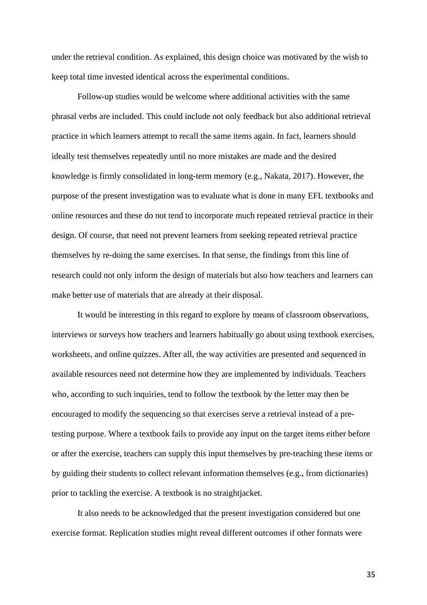under the retrieval condition. As explained, this design choice was motivated by the wish to keep total time invested identical across the experimental conditions.

Follow-up studies would be welcome where additional activities with the same phrasal verbs are included. This could include not only feedback but also additional retrieval practice in which learners attempt to recall the same items again. In fact, learners should ideally test themselves repeatedly until no more mistakes are made and the desired knowledge is firmly consolidated in long-term memory (e.g., Nakata, 2017). However, the purpose of the present investigation was to evaluate what is done in many EFL textbooks and online resources and these do not tend to incorporate much repeated retrieval practice in their design. Of course, that need not prevent learners from seeking repeated retrieval practice themselves by re-doing the same exercises. In that sense, the findings from this line of research could not only inform the design of materials but also how teachers and learners can make better use of materials that are already at their disposal.

It would be interesting in this regard to explore by means of classroom observations, interviews or surveys how teachers and learners habitually go about using textbook exercises, worksheets, and online quizzes. After all, the way activities are presented and sequenced in available resources need not determine how they are implemented by individuals. Teachers who, according to such inquiries, tend to follow the textbook by the letter may then be encouraged to modify the sequencing so that exercises serve a retrieval instead of a pretesting purpose. Where a textbook fails to provide any input on the target items either before or after the exercise, teachers can supply this input themselves by pre-teaching these items or by guiding their students to collect relevant information themselves (e.g., from dictionaries) prior to tackling the exercise. A textbook is no straightjacket.

It also needs to be acknowledged that the present investigation considered but one exercise format. Replication studies might reveal different outcomes if other formats were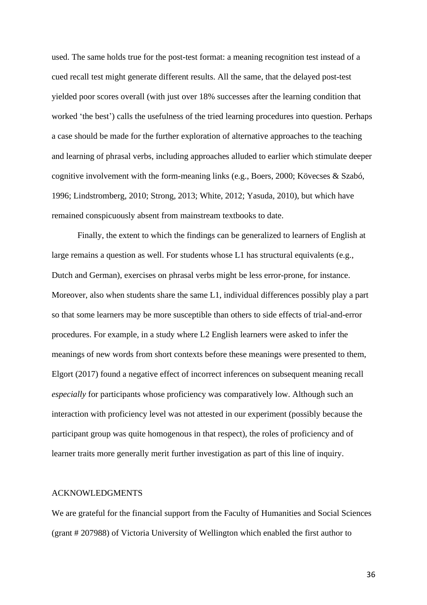used. The same holds true for the post-test format: a meaning recognition test instead of a cued recall test might generate different results. All the same, that the delayed post-test yielded poor scores overall (with just over 18% successes after the learning condition that worked 'the best') calls the usefulness of the tried learning procedures into question. Perhaps a case should be made for the further exploration of alternative approaches to the teaching and learning of phrasal verbs, including approaches alluded to earlier which stimulate deeper cognitive involvement with the form-meaning links (e.g., Boers, 2000; Kövecses & Szabó, 1996; Lindstromberg, 2010; Strong, 2013; White, 2012; Yasuda, 2010), but which have remained conspicuously absent from mainstream textbooks to date.

Finally, the extent to which the findings can be generalized to learners of English at large remains a question as well. For students whose L1 has structural equivalents (e.g., Dutch and German), exercises on phrasal verbs might be less error-prone, for instance. Moreover, also when students share the same L1, individual differences possibly play a part so that some learners may be more susceptible than others to side effects of trial-and-error procedures. For example, in a study where L2 English learners were asked to infer the meanings of new words from short contexts before these meanings were presented to them, Elgort (2017) found a negative effect of incorrect inferences on subsequent meaning recall *especially* for participants whose proficiency was comparatively low. Although such an interaction with proficiency level was not attested in our experiment (possibly because the participant group was quite homogenous in that respect), the roles of proficiency and of learner traits more generally merit further investigation as part of this line of inquiry.

## ACKNOWLEDGMENTS

We are grateful for the financial support from the Faculty of Humanities and Social Sciences (grant # 207988) of Victoria University of Wellington which enabled the first author to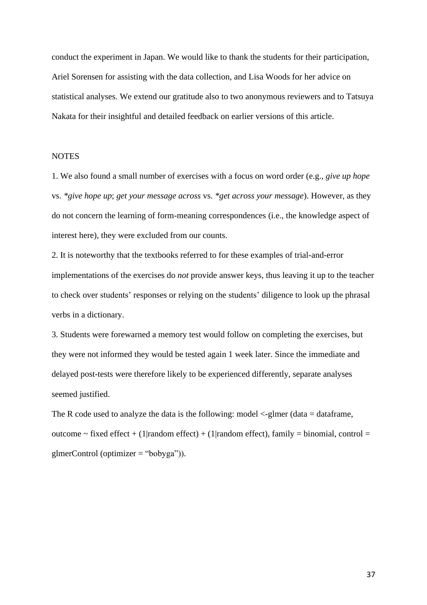conduct the experiment in Japan. We would like to thank the students for their participation, Ariel Sorensen for assisting with the data collection, and Lisa Woods for her advice on statistical analyses. We extend our gratitude also to two anonymous reviewers and to Tatsuya Nakata for their insightful and detailed feedback on earlier versions of this article.

## **NOTES**

1. We also found a small number of exercises with a focus on word order (e.g., *give up hope* vs. *\*give hope up*; *get your message across* vs. *\*get across your message*). However, as they do not concern the learning of form-meaning correspondences (i.e., the knowledge aspect of interest here), they were excluded from our counts.

2. It is noteworthy that the textbooks referred to for these examples of trial-and-error implementations of the exercises do *not* provide answer keys, thus leaving it up to the teacher to check over students' responses or relying on the students' diligence to look up the phrasal verbs in a dictionary.

3. Students were forewarned a memory test would follow on completing the exercises, but they were not informed they would be tested again 1 week later. Since the immediate and delayed post-tests were therefore likely to be experienced differently, separate analyses seemed justified.

The R code used to analyze the data is the following: model <-glmer (data = dataframe, outcome ~ fixed effect + (1|random effect) + (1|random effect), family = binomial, control = glmerControl (optimizer = "bobyga")).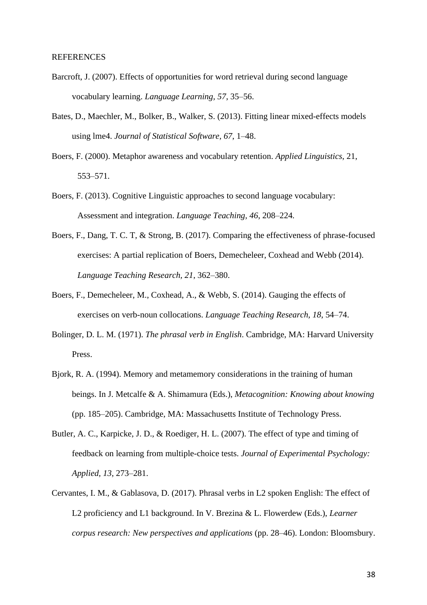#### REFERENCES

- Barcroft, J. (2007). Effects of opportunities for word retrieval during second language vocabulary learning. *Language Learning, 57*, 35–56.
- Bates, D., Maechler, M., Bolker, B., Walker, S. (2013). Fitting linear mixed-effects models using lme4. *Journal of Statistical Software, 67*, 1–48.
- Boers, F. (2000). Metaphor awareness and vocabulary retention. *Applied Linguistics*, 21, 553–571.
- Boers, F. (2013). Cognitive Linguistic approaches to second language vocabulary: Assessment and integration. *Language Teaching, 46*, 208–224*.*
- Boers, F., Dang, T. C. T, & Strong, B. (2017). Comparing the effectiveness of phrase-focused exercises: A partial replication of Boers, Demecheleer, Coxhead and Webb (2014). *Language Teaching Research, 21*, 362–380.
- Boers, F., Demecheleer, M., Coxhead, A., & Webb, S. (2014). Gauging the effects of exercises on verb-noun collocations. *Language Teaching Research, 18*, 54–74.
- Bolinger, D. L. M. (1971). *The phrasal verb in English*. Cambridge, MA: Harvard University Press.
- Bjork, R. A. (1994). Memory and metamemory considerations in the training of human beings. In J. Metcalfe & A. Shimamura (Eds.), *Metacognition: Knowing about knowing* (pp. 185–205). Cambridge, MA: Massachusetts Institute of Technology Press.
- Butler, A. C., Karpicke, J. D., & Roediger, H. L. (2007). The effect of type and timing of feedback on learning from multiple-choice tests. *Journal of Experimental Psychology: Applied, 13*, 273–281.
- Cervantes, I. M., & Gablasova, D. (2017). Phrasal verbs in L2 spoken English: The effect of L2 proficiency and L1 background. In V. Brezina & L. Flowerdew (Eds.), *Learner corpus research: New perspectives and applications* (pp. 28–46). London: Bloomsbury.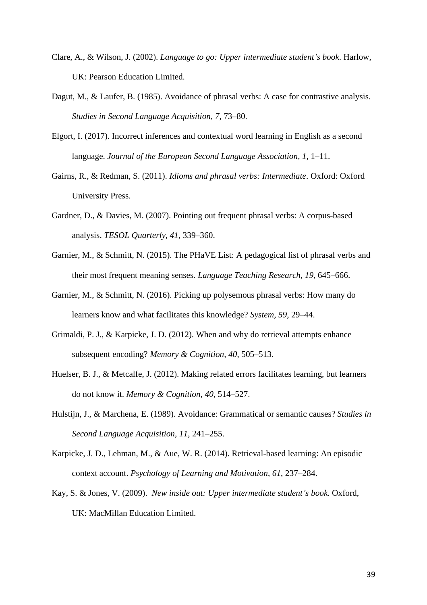- Clare, A., & Wilson, J. (2002). *Language to go: Upper intermediate student's book*. Harlow, UK: Pearson Education Limited.
- Dagut, M., & Laufer, B. (1985). Avoidance of phrasal verbs: A case for contrastive analysis. *Studies in Second Language Acquisition*, *7*, 73–80.
- Elgort, I. (2017). Incorrect inferences and contextual word learning in English as a second language. *Journal of the European Second Language Association, 1*, 1–11.
- Gairns, R., & Redman, S. (2011). *Idioms and phrasal verbs: Intermediate*. Oxford: Oxford University Press.
- Gardner, D., & Davies, M. (2007). Pointing out frequent phrasal verbs: A corpus-based analysis. *TESOL Quarterly, 41*, 339–360.
- Garnier, M., & Schmitt, N. (2015). The PHaVE List: A pedagogical list of phrasal verbs and their most frequent meaning senses. *Language Teaching Research, 19*, 645–666.
- Garnier, M., & Schmitt, N. (2016). Picking up polysemous phrasal verbs: How many do learners know and what facilitates this knowledge? *System, 59*, 29–44.
- Grimaldi, P. J., & Karpicke, J. D. (2012). When and why do retrieval attempts enhance subsequent encoding? *Memory & Cognition, 40*, 505–513.
- Huelser, B. J., & Metcalfe, J. (2012). Making related errors facilitates learning, but learners do not know it. *Memory & Cognition, 40*, 514–527.
- Hulstijn, J., & Marchena, E. (1989). Avoidance: Grammatical or semantic causes? *Studies in Second Language Acquisition, 11*, 241–255.
- Karpicke, J. D., Lehman, M., & Aue, W. R. (2014). Retrieval-based learning: An episodic context account. *Psychology of Learning and Motivation*, *61*, 237–284.
- Kay, S. & Jones, V. (2009). *New inside out: Upper intermediate student's book.* Oxford, UK: MacMillan Education Limited.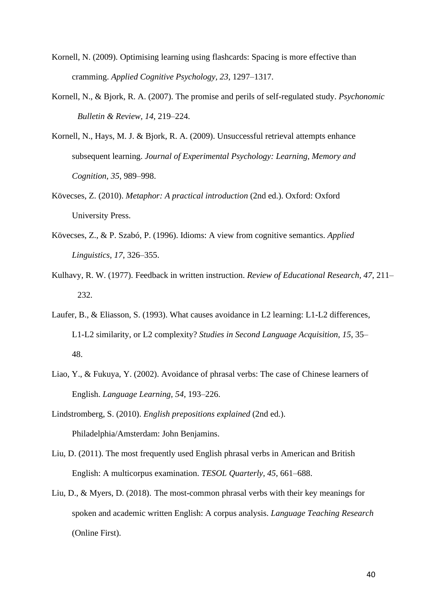- Kornell, N. (2009). Optimising learning using flashcards: Spacing is more effective than cramming. *Applied Cognitive Psychology, 23*, 1297–1317.
- Kornell, N., & Bjork, R. A. (2007). The promise and perils of self-regulated study. *Psychonomic Bulletin & Review, 14*, 219–224.
- Kornell, N., Hays, M. J. & Bjork, R. A. (2009). Unsuccessful retrieval attempts enhance subsequent learning. *Journal of Experimental Psychology: Learning, Memory and Cognition, 35*, 989–998.
- Kövecses, Z. (2010). *Metaphor: A practical introduction* (2nd ed.). Oxford: Oxford University Press.
- Kövecses, Z., & P. Szabó, P. (1996). Idioms: A view from cognitive semantics. *Applied Linguistics, 17*, 326–355.
- Kulhavy, R. W. (1977). Feedback in written instruction. *Review of Educational Research, 47*, 211– 232.
- Laufer, B., & Eliasson, S. (1993). What causes avoidance in L2 learning: L1-L2 differences, L1-L2 similarity, or L2 complexity? *Studies in Second Language Acquisition, 15*, 35– 48.
- Liao, Y., & Fukuya, Y. (2002). Avoidance of phrasal verbs: The case of Chinese learners of English. *Language Learning, 54*, 193–226.
- Lindstromberg, S. (2010). *English prepositions explained* (2nd ed.). Philadelphia/Amsterdam: John Benjamins.
- Liu, D. (2011). The most frequently used English phrasal verbs in American and British English: A multicorpus examination. *TESOL Quarterly, 45*, 661–688.
- Liu, D., & Myers, D. (2018). The most-common phrasal verbs with their key meanings for spoken and academic written English: A corpus analysis. *Language Teaching Research* (Online First).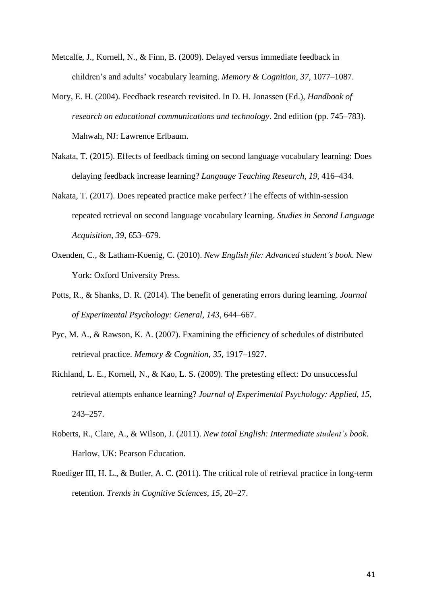- Metcalfe, J., Kornell, N., & Finn, B. (2009). Delayed versus immediate feedback in children's and adults' vocabulary learning. *Memory & Cognition, 37*, 1077–1087.
- Mory, E. H. (2004). Feedback research revisited. In D. H. Jonassen (Ed.), *Handbook of research on educational communications and technology*. 2nd edition (pp. 745–783). Mahwah, NJ: Lawrence Erlbaum.
- Nakata, T. (2015). Effects of feedback timing on second language vocabulary learning: Does delaying feedback increase learning? *Language Teaching Research, 19*, 416–434.
- Nakata, T. (2017). Does repeated practice make perfect? The effects of within-session repeated retrieval on second language vocabulary learning. *Studies in Second Language Acquisition, 39*, 653–679.
- Oxenden, C., & Latham-Koenig, C. (2010). *New English file: Advanced student's book*. New York: Oxford University Press.
- Potts, R., & Shanks, D. R. (2014). The benefit of generating errors during learning. *Journal of Experimental Psychology: General*, *143*, 644–667.
- Pyc, M. A., & Rawson, K. A. (2007). Examining the efficiency of schedules of distributed retrieval practice. *Memory & Cognition, 35*, 1917–1927.
- Richland, L. E., Kornell, N., & Kao, L. S. (2009). The pretesting effect: Do unsuccessful retrieval attempts enhance learning? *Journal of Experimental Psychology: Applied, 15*, 243–257.
- Roberts, R., Clare, A., & Wilson, J. (2011). *New total English: Intermediate student's book*. Harlow, UK: Pearson Education.
- Roediger III, H. L., & Butler, A. C. **(**2011). The critical role of retrieval practice in long-term retention. *Trends in Cognitive Sciences, 15*, 20–27.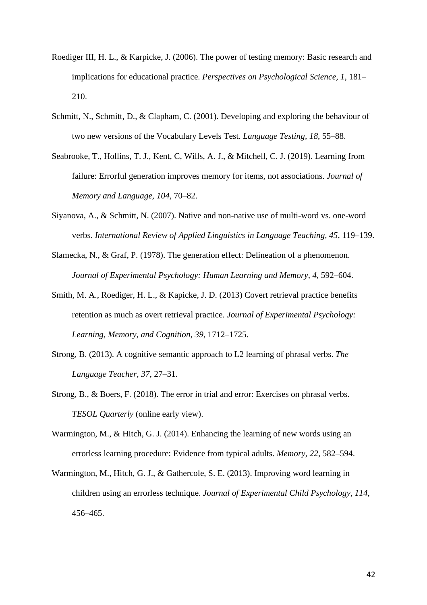- Roediger III, H. L., & Karpicke, J. (2006). The power of testing memory: Basic research and implications for educational practice. *Perspectives on Psychological Science, 1*, 181– 210.
- Schmitt, N., Schmitt, D., & Clapham, C. (2001). Developing and exploring the behaviour of two new versions of the Vocabulary Levels Test. *Language Testing, 18*, 55–88.
- Seabrooke, T., Hollins, T. J., Kent, C, Wills, A. J., & Mitchell, C. J. (2019). Learning from failure: Errorful generation improves memory for items, not associations. *Journal of Memory and Language, 104*, 70–82.
- Siyanova, A., & Schmitt, N. (2007). Native and non-native use of multi-word vs. one-word verbs. *International Review of Applied Linguistics in Language Teaching, 45*, 119–139.
- Slamecka, N., & Graf, P. (1978). The generation effect: Delineation of a phenomenon. *Journal of Experimental Psychology: Human Learning and Memory, 4*, 592–604.
- Smith, M. A., Roediger, H. L., & Kapicke, J. D. (2013) Covert retrieval practice benefits retention as much as overt retrieval practice. *Journal of Experimental Psychology: Learning, Memory, and Cognition, 39*, 1712–1725.
- Strong, B. (2013). A cognitive semantic approach to L2 learning of phrasal verbs. *The Language Teacher, 37*, 27–31.
- Strong, B., & Boers, F. (2018). The error in trial and error: Exercises on phrasal verbs. *TESOL Quarterly* (online early view).
- Warmington, M., & Hitch, G. J. (2014). Enhancing the learning of new words using an errorless learning procedure: Evidence from typical adults. *Memory, 22*, 582–594.
- Warmington, M., Hitch, G. J., & Gathercole, S. E. (2013). Improving word learning in children using an errorless technique. *Journal of Experimental Child Psychology, 114*, 456–465.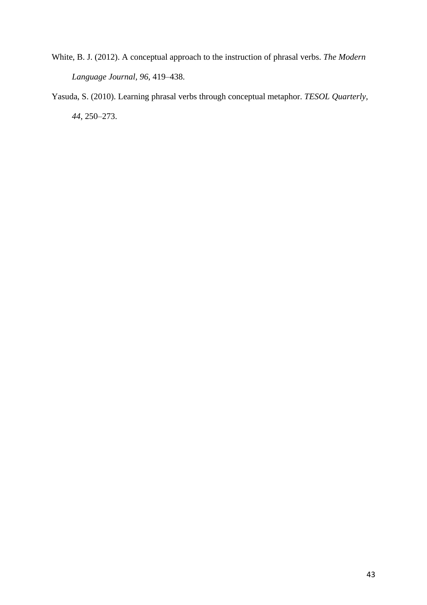- White, B. J. (2012). A conceptual approach to the instruction of phrasal verbs. *The Modern Language Journal, 96*, 419–438.
- Yasuda, S. (2010). Learning phrasal verbs through conceptual metaphor. *TESOL Quarterly, 44*, 250–273.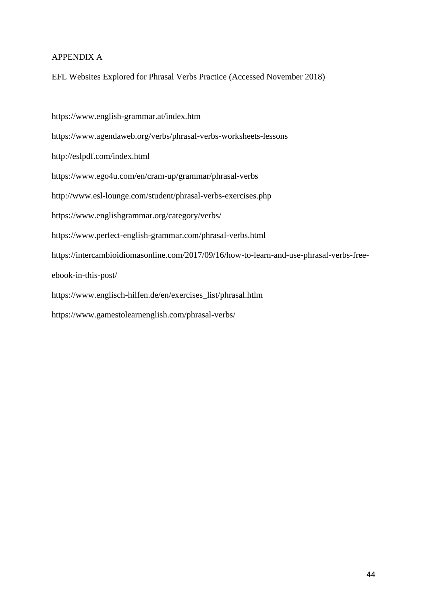# APPENDIX A

EFL Websites Explored for Phrasal Verbs Practice (Accessed November 2018)

https://www.english-grammar.at/index.htm https://www.agendaweb.org/verbs/phrasal-verbs-worksheets-lessons http://eslpdf.com/index.html https://www.ego4u.com/en/cram-up/grammar/phrasal-verbs http://www.esl-lounge.com/student/phrasal-verbs-exercises.php https://www.englishgrammar.org/category/verbs/ https://www.perfect-english-grammar.com/phrasal-verbs.html https://intercambioidiomasonline.com/2017/09/16/how-to-learn-and-use-phrasal-verbs-freeebook-in-this-post/ https://www.englisch-hilfen.de/en/exercises\_list/phrasal.htlm https://www.gamestolearnenglish.com/phrasal-verbs/